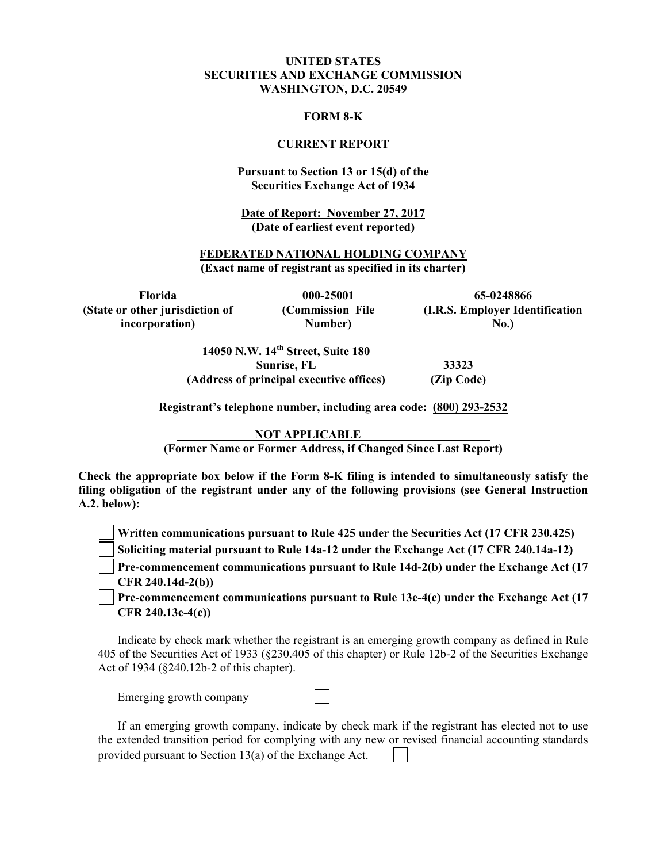#### **UNITED STATES SECURITIES AND EXCHANGE COMMISSION WASHINGTON, D.C. 20549**

#### **FORM 8-K**

#### **CURRENT REPORT**

#### **Pursuant to Section 13 or 15(d) of the Securities Exchange Act of 1934**

**Date of Report: November 27, 2017 (Date of earliest event reported)**

#### **FEDERATED NATIONAL HOLDING COMPANY (Exact name of registrant as specified in its charter)**

**Florida 000-25001 65-0248866 (State or other jurisdiction of incorporation) (Commission File Number) (I.R.S. Employer Identification No.) 14050 N.W. 14th Street, Suite 180** 

| $1703013.$ W. $17.$ Bucch, Built $100$<br>Sunrise, FL | 33323      |  |
|-------------------------------------------------------|------------|--|
| (Address of principal executive offices)              | (Zip Code) |  |

**Registrant's telephone number, including area code: (800) 293-2532** 

**NOT APPLICABLE** 

**(Former Name or Former Address, if Changed Since Last Report)** 

**Check the appropriate box below if the Form 8-K filing is intended to simultaneously satisfy the filing obligation of the registrant under any of the following provisions (see General Instruction A.2. below):** 

**Written communications pursuant to Rule 425 under the Securities Act (17 CFR 230.425)** 

**Soliciting material pursuant to Rule 14a-12 under the Exchange Act (17 CFR 240.14a-12)**

**Pre-commencement communications pursuant to Rule 14d-2(b) under the Exchange Act (17 CFR 240.14d-2(b))**

**Pre-commencement communications pursuant to Rule 13e-4(c) under the Exchange Act (17 CFR 240.13e-4(c))** 

Indicate by check mark whether the registrant is an emerging growth company as defined in Rule 405 of the Securities Act of 1933 (§230.405 of this chapter) or Rule 12b-2 of the Securities Exchange Act of 1934 (§240.12b-2 of this chapter).

Emerging growth company

If an emerging growth company, indicate by check mark if the registrant has elected not to use the extended transition period for complying with any new or revised financial accounting standards provided pursuant to Section 13(a) of the Exchange Act.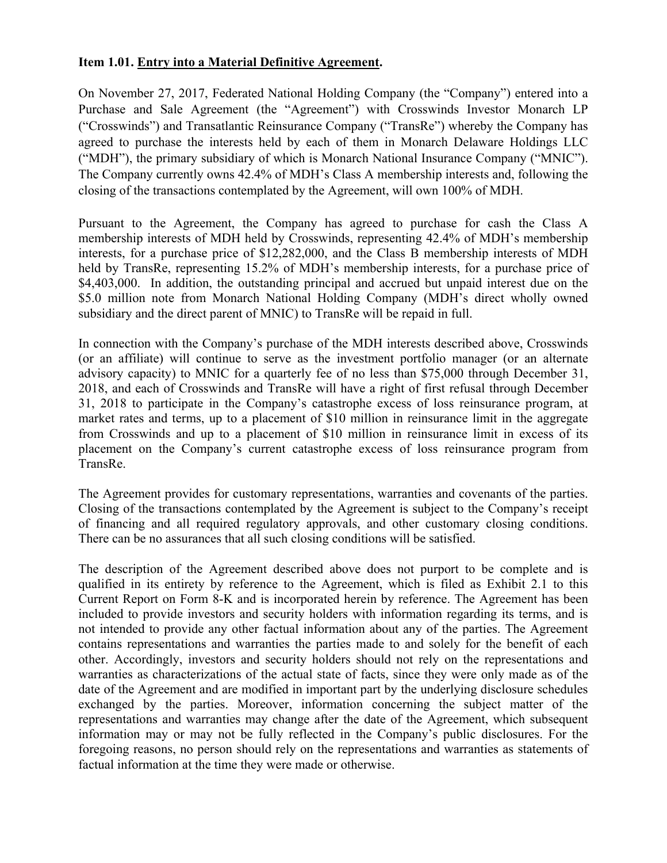#### **Item 1.01. Entry into a Material Definitive Agreement.**

On November 27, 2017, Federated National Holding Company (the "Company") entered into a Purchase and Sale Agreement (the "Agreement") with Crosswinds Investor Monarch LP ("Crosswinds") and Transatlantic Reinsurance Company ("TransRe") whereby the Company has agreed to purchase the interests held by each of them in Monarch Delaware Holdings LLC ("MDH"), the primary subsidiary of which is Monarch National Insurance Company ("MNIC"). The Company currently owns 42.4% of MDH's Class A membership interests and, following the closing of the transactions contemplated by the Agreement, will own 100% of MDH.

Pursuant to the Agreement, the Company has agreed to purchase for cash the Class A membership interests of MDH held by Crosswinds, representing 42.4% of MDH's membership interests, for a purchase price of \$12,282,000, and the Class B membership interests of MDH held by TransRe, representing 15.2% of MDH's membership interests, for a purchase price of \$4,403,000. In addition, the outstanding principal and accrued but unpaid interest due on the \$5.0 million note from Monarch National Holding Company (MDH's direct wholly owned subsidiary and the direct parent of MNIC) to TransRe will be repaid in full.

In connection with the Company's purchase of the MDH interests described above, Crosswinds (or an affiliate) will continue to serve as the investment portfolio manager (or an alternate advisory capacity) to MNIC for a quarterly fee of no less than \$75,000 through December 31, 2018, and each of Crosswinds and TransRe will have a right of first refusal through December 31, 2018 to participate in the Company's catastrophe excess of loss reinsurance program, at market rates and terms, up to a placement of \$10 million in reinsurance limit in the aggregate from Crosswinds and up to a placement of \$10 million in reinsurance limit in excess of its placement on the Company's current catastrophe excess of loss reinsurance program from TransRe.

The Agreement provides for customary representations, warranties and covenants of the parties. Closing of the transactions contemplated by the Agreement is subject to the Company's receipt of financing and all required regulatory approvals, and other customary closing conditions. There can be no assurances that all such closing conditions will be satisfied.

The description of the Agreement described above does not purport to be complete and is qualified in its entirety by reference to the Agreement, which is filed as Exhibit 2.1 to this Current Report on Form 8-K and is incorporated herein by reference. The Agreement has been included to provide investors and security holders with information regarding its terms, and is not intended to provide any other factual information about any of the parties. The Agreement contains representations and warranties the parties made to and solely for the benefit of each other. Accordingly, investors and security holders should not rely on the representations and warranties as characterizations of the actual state of facts, since they were only made as of the date of the Agreement and are modified in important part by the underlying disclosure schedules exchanged by the parties. Moreover, information concerning the subject matter of the representations and warranties may change after the date of the Agreement, which subsequent information may or may not be fully reflected in the Company's public disclosures. For the foregoing reasons, no person should rely on the representations and warranties as statements of factual information at the time they were made or otherwise.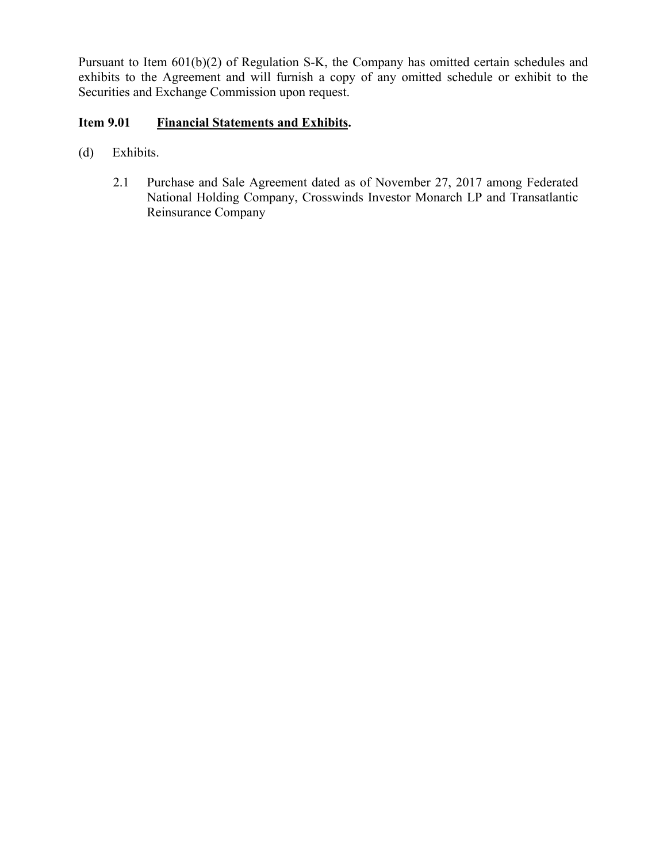Pursuant to Item 601(b)(2) of Regulation S-K, the Company has omitted certain schedules and exhibits to the Agreement and will furnish a copy of any omitted schedule or exhibit to the Securities and Exchange Commission upon request.

# **Item 9.01 Financial Statements and Exhibits.**

- (d) Exhibits.
	- 2.1 Purchase and Sale Agreement dated as of November 27, 2017 among Federated National Holding Company, Crosswinds Investor Monarch LP and Transatlantic Reinsurance Company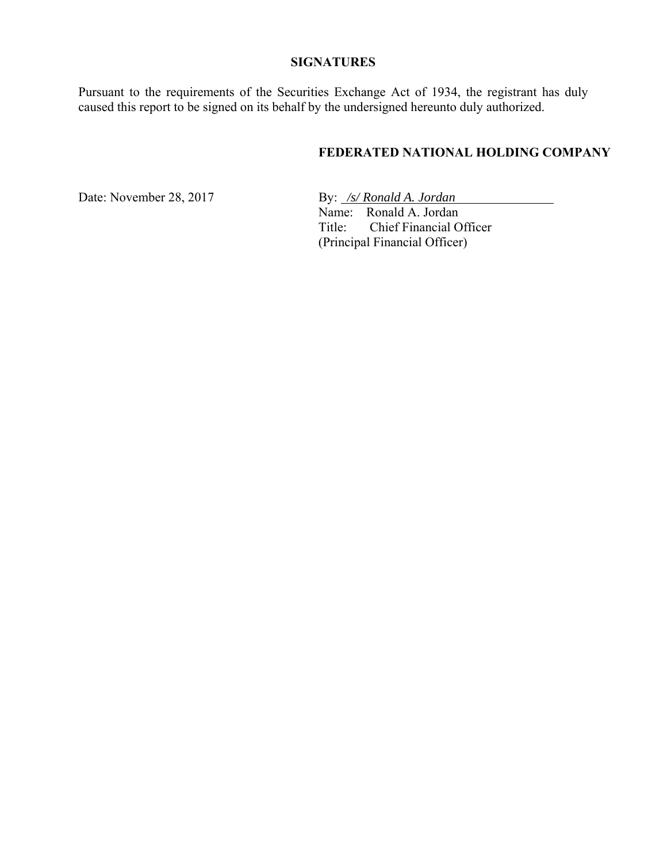#### **SIGNATURES**

Pursuant to the requirements of the Securities Exchange Act of 1934, the registrant has duly caused this report to be signed on its behalf by the undersigned hereunto duly authorized.

## **FEDERATED NATIONAL HOLDING COMPANY**

Date: November 28, 2017 By: */s/ Ronald A. Jordan*  Name: Ronald A. Jordan Title: Chief Financial Officer (Principal Financial Officer)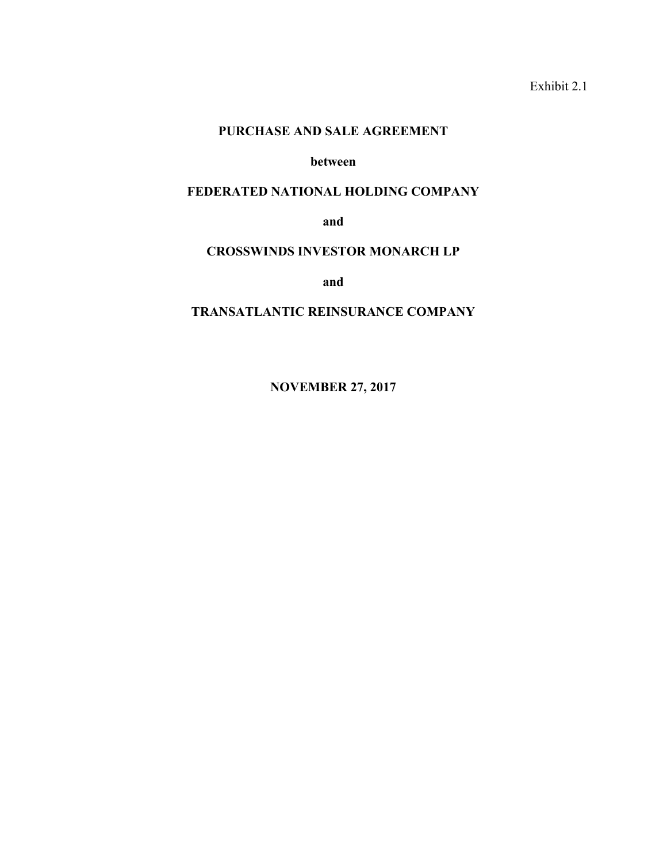Exhibit 2.1

#### **PURCHASE AND SALE AGREEMENT**

#### **between**

#### **FEDERATED NATIONAL HOLDING COMPANY**

**and** 

#### **CROSSWINDS INVESTOR MONARCH LP**

**and** 

## **TRANSATLANTIC REINSURANCE COMPANY**

**NOVEMBER 27, 2017**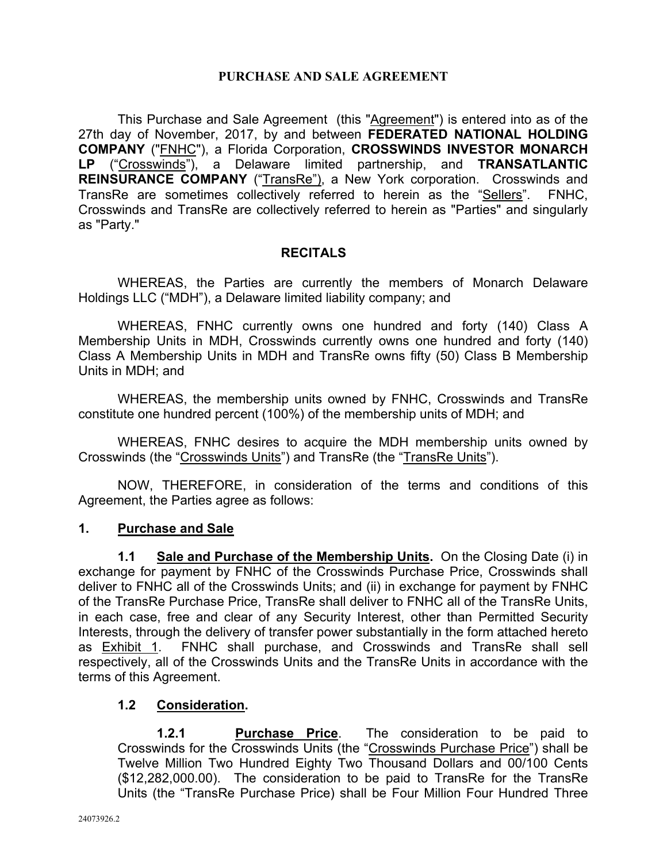## **PURCHASE AND SALE AGREEMENT**

This Purchase and Sale Agreement (this "Agreement") is entered into as of the 27th day of November, 2017, by and between **FEDERATED NATIONAL HOLDING COMPANY** ("FNHC"), a Florida Corporation, **CROSSWINDS INVESTOR MONARCH LP** ("Crosswinds"), a Delaware limited partnership, and **TRANSATLANTIC REINSURANCE COMPANY** ("TransRe"), a New York corporation. Crosswinds and TransRe are sometimes collectively referred to herein as the "Sellers". FNHC, Crosswinds and TransRe are collectively referred to herein as "Parties" and singularly as "Party."

## **RECITALS**

WHEREAS, the Parties are currently the members of Monarch Delaware Holdings LLC ("MDH"), a Delaware limited liability company; and

WHEREAS, FNHC currently owns one hundred and forty (140) Class A Membership Units in MDH, Crosswinds currently owns one hundred and forty (140) Class A Membership Units in MDH and TransRe owns fifty (50) Class B Membership Units in MDH; and

WHEREAS, the membership units owned by FNHC, Crosswinds and TransRe constitute one hundred percent (100%) of the membership units of MDH; and

WHEREAS, FNHC desires to acquire the MDH membership units owned by Crosswinds (the "Crosswinds Units") and TransRe (the "TransRe Units").

NOW, THEREFORE, in consideration of the terms and conditions of this Agreement, the Parties agree as follows:

## **1. Purchase and Sale**

**1.1 Sale and Purchase of the Membership Units.** On the Closing Date (i) in exchange for payment by FNHC of the Crosswinds Purchase Price, Crosswinds shall deliver to FNHC all of the Crosswinds Units; and (ii) in exchange for payment by FNHC of the TransRe Purchase Price, TransRe shall deliver to FNHC all of the TransRe Units, in each case, free and clear of any Security Interest, other than Permitted Security Interests, through the delivery of transfer power substantially in the form attached hereto as Exhibit 1. FNHC shall purchase, and Crosswinds and TransRe shall sell respectively, all of the Crosswinds Units and the TransRe Units in accordance with the terms of this Agreement.

## **1.2 Consideration.**

**1.2.1 Purchase Price**. The consideration to be paid to Crosswinds for the Crosswinds Units (the "Crosswinds Purchase Price") shall be Twelve Million Two Hundred Eighty Two Thousand Dollars and 00/100 Cents (\$12,282,000.00). The consideration to be paid to TransRe for the TransRe Units (the "TransRe Purchase Price) shall be Four Million Four Hundred Three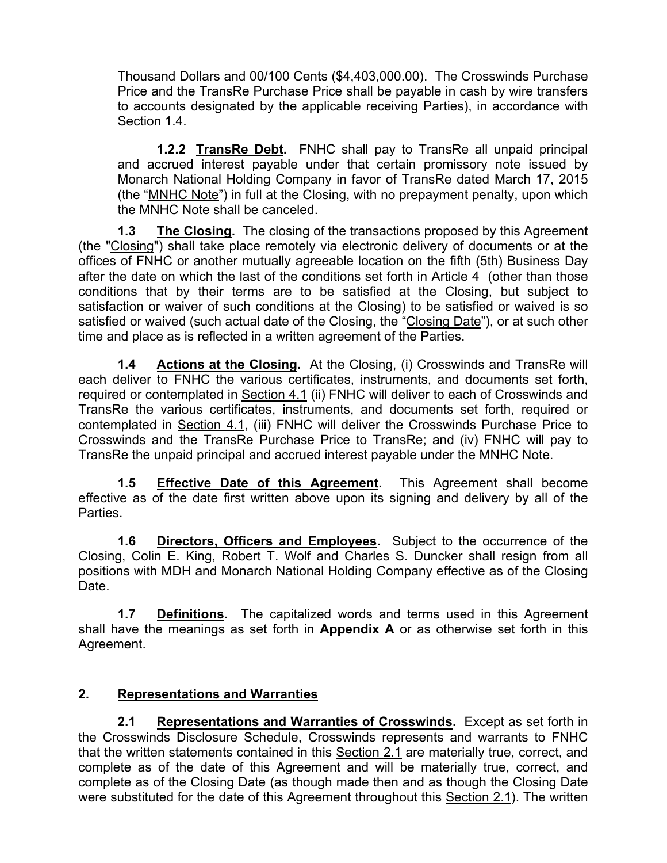Thousand Dollars and 00/100 Cents (\$4,403,000.00). The Crosswinds Purchase Price and the TransRe Purchase Price shall be payable in cash by wire transfers to accounts designated by the applicable receiving Parties), in accordance with Section 1.4.

**1.2.2 TransRe Debt.** FNHC shall pay to TransRe all unpaid principal and accrued interest payable under that certain promissory note issued by Monarch National Holding Company in favor of TransRe dated March 17, 2015 (the "MNHC Note") in full at the Closing, with no prepayment penalty, upon which the MNHC Note shall be canceled.

**1.3 The Closing.** The closing of the transactions proposed by this Agreement (the "Closing") shall take place remotely via electronic delivery of documents or at the offices of FNHC or another mutually agreeable location on the fifth (5th) Business Day after the date on which the last of the conditions set forth in Article 4 (other than those conditions that by their terms are to be satisfied at the Closing, but subject to satisfaction or waiver of such conditions at the Closing) to be satisfied or waived is so satisfied or waived (such actual date of the Closing, the "Closing Date"), or at such other time and place as is reflected in a written agreement of the Parties.

**1.4 Actions at the Closing.** At the Closing, (i) Crosswinds and TransRe will each deliver to FNHC the various certificates, instruments, and documents set forth, required or contemplated in Section 4.1 (ii) FNHC will deliver to each of Crosswinds and TransRe the various certificates, instruments, and documents set forth, required or contemplated in Section 4.1, (iii) FNHC will deliver the Crosswinds Purchase Price to Crosswinds and the TransRe Purchase Price to TransRe; and (iv) FNHC will pay to TransRe the unpaid principal and accrued interest payable under the MNHC Note.

**1.5 Effective Date of this Agreement.** This Agreement shall become effective as of the date first written above upon its signing and delivery by all of the Parties.

**1.6 Directors, Officers and Employees.** Subject to the occurrence of the Closing, Colin E. King, Robert T. Wolf and Charles S. Duncker shall resign from all positions with MDH and Monarch National Holding Company effective as of the Closing Date.

**1.7 Definitions.** The capitalized words and terms used in this Agreement shall have the meanings as set forth in **Appendix A** or as otherwise set forth in this Agreement.

# **2. Representations and Warranties**

**2.1 Representations and Warranties of Crosswinds.** Except as set forth in the Crosswinds Disclosure Schedule, Crosswinds represents and warrants to FNHC that the written statements contained in this Section 2.1 are materially true, correct, and complete as of the date of this Agreement and will be materially true, correct, and complete as of the Closing Date (as though made then and as though the Closing Date were substituted for the date of this Agreement throughout this Section 2.1). The written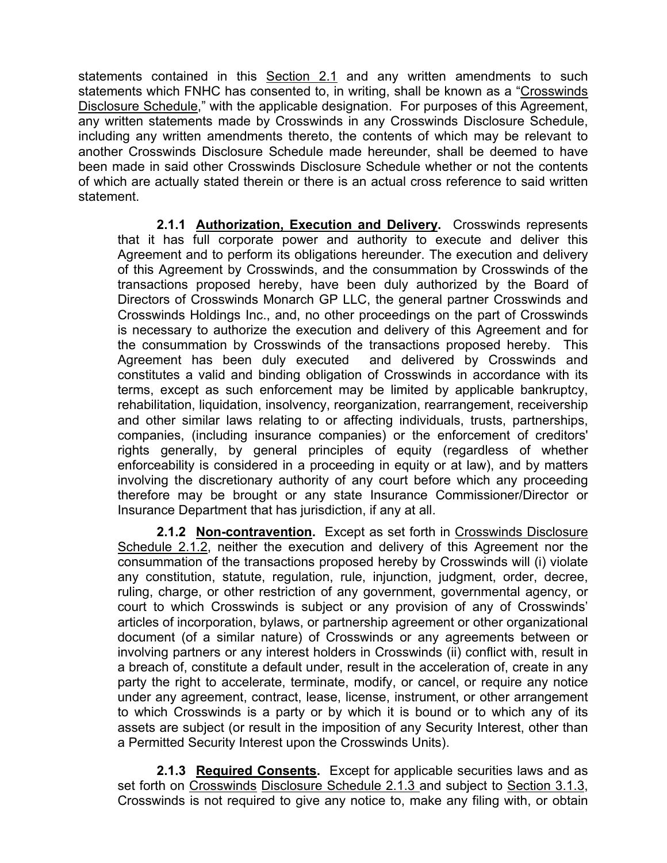statements contained in this Section 2.1 and any written amendments to such statements which FNHC has consented to, in writing, shall be known as a "Crosswinds Disclosure Schedule," with the applicable designation. For purposes of this Agreement, any written statements made by Crosswinds in any Crosswinds Disclosure Schedule, including any written amendments thereto, the contents of which may be relevant to another Crosswinds Disclosure Schedule made hereunder, shall be deemed to have been made in said other Crosswinds Disclosure Schedule whether or not the contents of which are actually stated therein or there is an actual cross reference to said written statement.

**2.1.1 Authorization, Execution and Delivery.** Crosswinds represents that it has full corporate power and authority to execute and deliver this Agreement and to perform its obligations hereunder. The execution and delivery of this Agreement by Crosswinds, and the consummation by Crosswinds of the transactions proposed hereby, have been duly authorized by the Board of Directors of Crosswinds Monarch GP LLC, the general partner Crosswinds and Crosswinds Holdings Inc., and, no other proceedings on the part of Crosswinds is necessary to authorize the execution and delivery of this Agreement and for the consummation by Crosswinds of the transactions proposed hereby. This Agreement has been duly executed and delivered by Crosswinds and constitutes a valid and binding obligation of Crosswinds in accordance with its terms, except as such enforcement may be limited by applicable bankruptcy, rehabilitation, liquidation, insolvency, reorganization, rearrangement, receivership and other similar laws relating to or affecting individuals, trusts, partnerships, companies, (including insurance companies) or the enforcement of creditors' rights generally, by general principles of equity (regardless of whether enforceability is considered in a proceeding in equity or at law), and by matters involving the discretionary authority of any court before which any proceeding therefore may be brought or any state Insurance Commissioner/Director or Insurance Department that has jurisdiction, if any at all.

**2.1.2 Non-contravention.** Except as set forth in Crosswinds Disclosure Schedule 2.1.2, neither the execution and delivery of this Agreement nor the consummation of the transactions proposed hereby by Crosswinds will (i) violate any constitution, statute, regulation, rule, injunction, judgment, order, decree, ruling, charge, or other restriction of any government, governmental agency, or court to which Crosswinds is subject or any provision of any of Crosswinds' articles of incorporation, bylaws, or partnership agreement or other organizational document (of a similar nature) of Crosswinds or any agreements between or involving partners or any interest holders in Crosswinds (ii) conflict with, result in a breach of, constitute a default under, result in the acceleration of, create in any party the right to accelerate, terminate, modify, or cancel, or require any notice under any agreement, contract, lease, license, instrument, or other arrangement to which Crosswinds is a party or by which it is bound or to which any of its assets are subject (or result in the imposition of any Security Interest, other than a Permitted Security Interest upon the Crosswinds Units).

**2.1.3 Required Consents.** Except for applicable securities laws and as set forth on Crosswinds Disclosure Schedule 2.1.3 and subject to Section 3.1.3, Crosswinds is not required to give any notice to, make any filing with, or obtain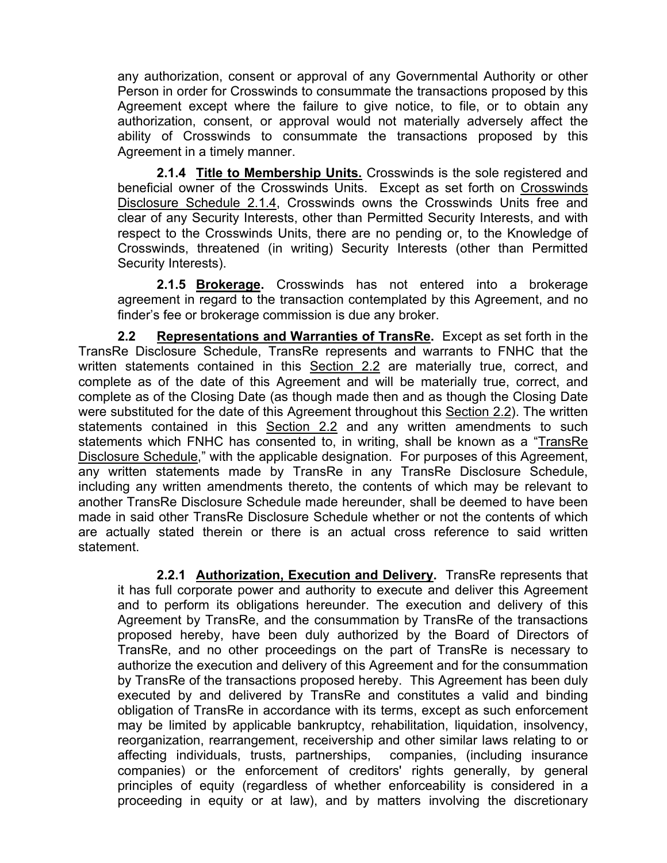any authorization, consent or approval of any Governmental Authority or other Person in order for Crosswinds to consummate the transactions proposed by this Agreement except where the failure to give notice, to file, or to obtain any authorization, consent, or approval would not materially adversely affect the ability of Crosswinds to consummate the transactions proposed by this Agreement in a timely manner.

**2.1.4 Title to Membership Units.** Crosswinds is the sole registered and beneficial owner of the Crosswinds Units. Except as set forth on Crosswinds Disclosure Schedule 2.1.4, Crosswinds owns the Crosswinds Units free and clear of any Security Interests, other than Permitted Security Interests, and with respect to the Crosswinds Units, there are no pending or, to the Knowledge of Crosswinds, threatened (in writing) Security Interests (other than Permitted Security Interests).

**2.1.5 Brokerage.** Crosswinds has not entered into a brokerage agreement in regard to the transaction contemplated by this Agreement, and no finder's fee or brokerage commission is due any broker.

**2.2 Representations and Warranties of TransRe.** Except as set forth in the TransRe Disclosure Schedule, TransRe represents and warrants to FNHC that the written statements contained in this Section 2.2 are materially true, correct, and complete as of the date of this Agreement and will be materially true, correct, and complete as of the Closing Date (as though made then and as though the Closing Date were substituted for the date of this Agreement throughout this Section 2.2). The written statements contained in this Section 2.2 and any written amendments to such statements which FNHC has consented to, in writing, shall be known as a "TransRe Disclosure Schedule," with the applicable designation. For purposes of this Agreement, any written statements made by TransRe in any TransRe Disclosure Schedule, including any written amendments thereto, the contents of which may be relevant to another TransRe Disclosure Schedule made hereunder, shall be deemed to have been made in said other TransRe Disclosure Schedule whether or not the contents of which are actually stated therein or there is an actual cross reference to said written statement.

**2.2.1 Authorization, Execution and Delivery.** TransRe represents that it has full corporate power and authority to execute and deliver this Agreement and to perform its obligations hereunder. The execution and delivery of this Agreement by TransRe, and the consummation by TransRe of the transactions proposed hereby, have been duly authorized by the Board of Directors of TransRe, and no other proceedings on the part of TransRe is necessary to authorize the execution and delivery of this Agreement and for the consummation by TransRe of the transactions proposed hereby. This Agreement has been duly executed by and delivered by TransRe and constitutes a valid and binding obligation of TransRe in accordance with its terms, except as such enforcement may be limited by applicable bankruptcy, rehabilitation, liquidation, insolvency, reorganization, rearrangement, receivership and other similar laws relating to or affecting individuals, trusts, partnerships, companies, (including insurance companies) or the enforcement of creditors' rights generally, by general principles of equity (regardless of whether enforceability is considered in a proceeding in equity or at law), and by matters involving the discretionary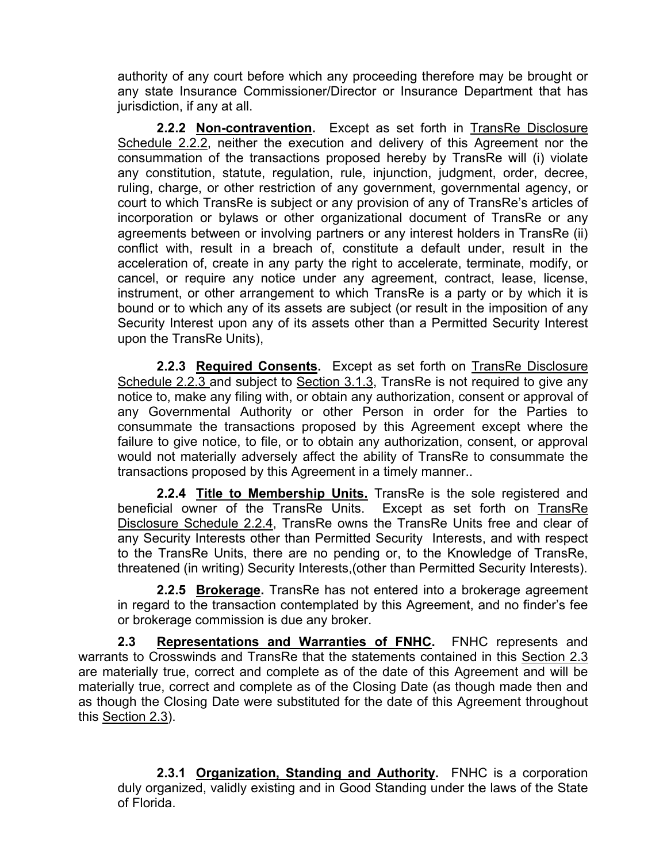authority of any court before which any proceeding therefore may be brought or any state Insurance Commissioner/Director or Insurance Department that has jurisdiction, if any at all.

**2.2.2 Non-contravention.** Except as set forth in TransRe Disclosure Schedule 2.2.2, neither the execution and delivery of this Agreement nor the consummation of the transactions proposed hereby by TransRe will (i) violate any constitution, statute, regulation, rule, injunction, judgment, order, decree, ruling, charge, or other restriction of any government, governmental agency, or court to which TransRe is subject or any provision of any of TransRe's articles of incorporation or bylaws or other organizational document of TransRe or any agreements between or involving partners or any interest holders in TransRe (ii) conflict with, result in a breach of, constitute a default under, result in the acceleration of, create in any party the right to accelerate, terminate, modify, or cancel, or require any notice under any agreement, contract, lease, license, instrument, or other arrangement to which TransRe is a party or by which it is bound or to which any of its assets are subject (or result in the imposition of any Security Interest upon any of its assets other than a Permitted Security Interest upon the TransRe Units),

**2.2.3 Required Consents.** Except as set forth on TransRe Disclosure Schedule 2.2.3 and subject to Section 3.1.3, TransRe is not required to give any notice to, make any filing with, or obtain any authorization, consent or approval of any Governmental Authority or other Person in order for the Parties to consummate the transactions proposed by this Agreement except where the failure to give notice, to file, or to obtain any authorization, consent, or approval would not materially adversely affect the ability of TransRe to consummate the transactions proposed by this Agreement in a timely manner..

**2.2.4 Title to Membership Units.** TransRe is the sole registered and beneficial owner of the TransRe Units. Except as set forth on TransRe Disclosure Schedule 2.2.4, TransRe owns the TransRe Units free and clear of any Security Interests other than Permitted Security Interests, and with respect to the TransRe Units, there are no pending or, to the Knowledge of TransRe, threatened (in writing) Security Interests,(other than Permitted Security Interests).

**2.2.5 Brokerage.** TransRe has not entered into a brokerage agreement in regard to the transaction contemplated by this Agreement, and no finder's fee or brokerage commission is due any broker.

**2.3 Representations and Warranties of FNHC.** FNHC represents and warrants to Crosswinds and TransRe that the statements contained in this Section 2.3 are materially true, correct and complete as of the date of this Agreement and will be materially true, correct and complete as of the Closing Date (as though made then and as though the Closing Date were substituted for the date of this Agreement throughout this Section 2.3).

**2.3.1 Organization, Standing and Authority.** FNHC is a corporation duly organized, validly existing and in Good Standing under the laws of the State of Florida.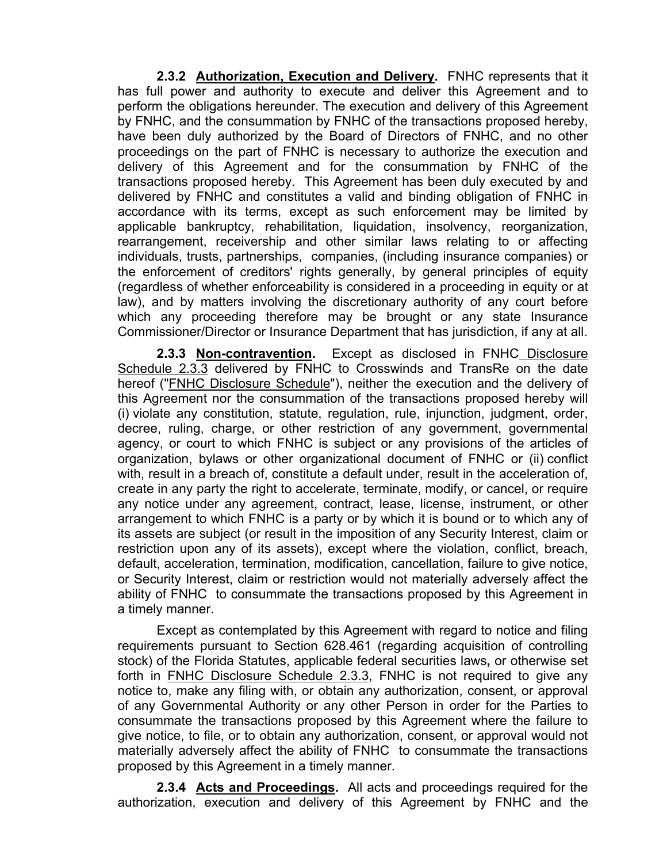**2.3.2 Authorization, Execution and Delivery.** FNHC represents that it has full power and authority to execute and deliver this Agreement and to perform the obligations hereunder. The execution and delivery of this Agreement by FNHC, and the consummation by FNHC of the transactions proposed hereby, have been duly authorized by the Board of Directors of FNHC, and no other proceedings on the part of FNHC is necessary to authorize the execution and delivery of this Agreement and for the consummation by FNHC of the transactions proposed hereby. This Agreement has been duly executed by and delivered by FNHC and constitutes a valid and binding obligation of FNHC in accordance with its terms, except as such enforcement may be limited by applicable bankruptcy, rehabilitation, liquidation, insolvency, reorganization, rearrangement, receivership and other similar laws relating to or affecting individuals, trusts, partnerships, companies, (including insurance companies) or the enforcement of creditors' rights generally, by general principles of equity (regardless of whether enforceability is considered in a proceeding in equity or at law), and by matters involving the discretionary authority of any court before which any proceeding therefore may be brought or any state Insurance Commissioner/Director or Insurance Department that has jurisdiction, if any at all.

**2.3.3 Non-contravention.** Except as disclosed in FNHC Disclosure Schedule 2.3.3 delivered by FNHC to Crosswinds and TransRe on the date hereof ("FNHC Disclosure Schedule"), neither the execution and the delivery of this Agreement nor the consummation of the transactions proposed hereby will (i) violate any constitution, statute, regulation, rule, injunction, judgment, order, decree, ruling, charge, or other restriction of any government, governmental agency, or court to which FNHC is subject or any provisions of the articles of organization, bylaws or other organizational document of FNHC or (ii) conflict with, result in a breach of, constitute a default under, result in the acceleration of, create in any party the right to accelerate, terminate, modify, or cancel, or require any notice under any agreement, contract, lease, license, instrument, or other arrangement to which FNHC is a party or by which it is bound or to which any of its assets are subject (or result in the imposition of any Security Interest, claim or restriction upon any of its assets), except where the violation, conflict, breach, default, acceleration, termination, modification, cancellation, failure to give notice, or Security Interest, claim or restriction would not materially adversely affect the ability of FNHC to consummate the transactions proposed by this Agreement in a timely manner.

Except as contemplated by this Agreement with regard to notice and filing requirements pursuant to Section 628.461 (regarding acquisition of controlling stock) of the Florida Statutes, applicable federal securities laws**,** or otherwise set forth in FNHC Disclosure Schedule 2.3.3, FNHC is not required to give any notice to, make any filing with, or obtain any authorization, consent, or approval of any Governmental Authority or any other Person in order for the Parties to consummate the transactions proposed by this Agreement where the failure to give notice, to file, or to obtain any authorization, consent, or approval would not materially adversely affect the ability of FNHC to consummate the transactions proposed by this Agreement in a timely manner.

**2.3.4 Acts and Proceedings.** All acts and proceedings required for the authorization, execution and delivery of this Agreement by FNHC and the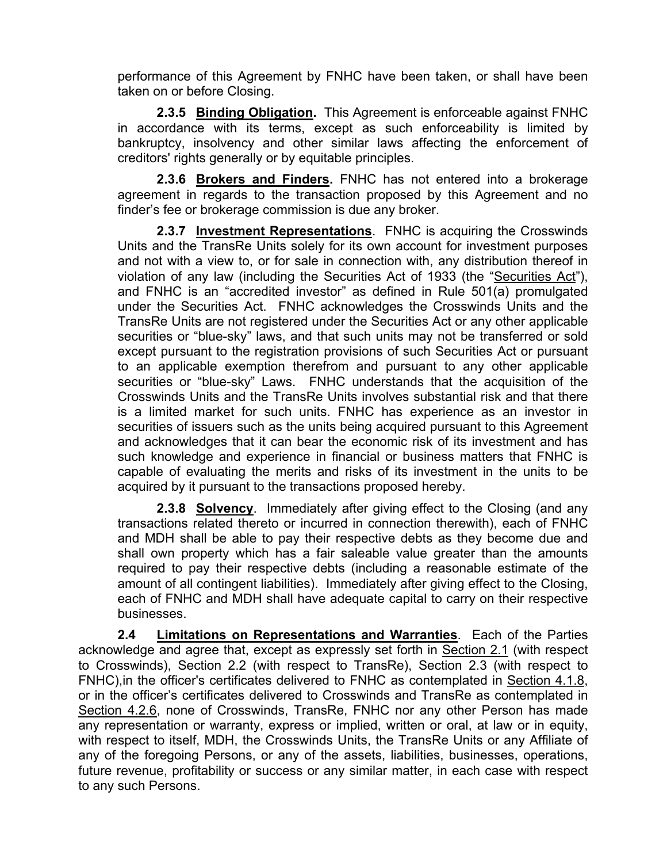performance of this Agreement by FNHC have been taken, or shall have been taken on or before Closing.

**2.3.5 Binding Obligation.** This Agreement is enforceable against FNHC in accordance with its terms, except as such enforceability is limited by bankruptcy, insolvency and other similar laws affecting the enforcement of creditors' rights generally or by equitable principles.

**2.3.6 Brokers and Finders.** FNHC has not entered into a brokerage agreement in regards to the transaction proposed by this Agreement and no finder's fee or brokerage commission is due any broker.

**2.3.7 Investment Representations**. FNHC is acquiring the Crosswinds Units and the TransRe Units solely for its own account for investment purposes and not with a view to, or for sale in connection with, any distribution thereof in violation of any law (including the Securities Act of 1933 (the "Securities Act"), and FNHC is an "accredited investor" as defined in Rule 501(a) promulgated under the Securities Act. FNHC acknowledges the Crosswinds Units and the TransRe Units are not registered under the Securities Act or any other applicable securities or "blue-sky" laws, and that such units may not be transferred or sold except pursuant to the registration provisions of such Securities Act or pursuant to an applicable exemption therefrom and pursuant to any other applicable securities or "blue-sky" Laws. FNHC understands that the acquisition of the Crosswinds Units and the TransRe Units involves substantial risk and that there is a limited market for such units. FNHC has experience as an investor in securities of issuers such as the units being acquired pursuant to this Agreement and acknowledges that it can bear the economic risk of its investment and has such knowledge and experience in financial or business matters that FNHC is capable of evaluating the merits and risks of its investment in the units to be acquired by it pursuant to the transactions proposed hereby.

**2.3.8 Solvency**. Immediately after giving effect to the Closing (and any transactions related thereto or incurred in connection therewith), each of FNHC and MDH shall be able to pay their respective debts as they become due and shall own property which has a fair saleable value greater than the amounts required to pay their respective debts (including a reasonable estimate of the amount of all contingent liabilities). Immediately after giving effect to the Closing, each of FNHC and MDH shall have adequate capital to carry on their respective businesses.

**2.4 Limitations on Representations and Warranties**. Each of the Parties acknowledge and agree that, except as expressly set forth in Section 2.1 (with respect to Crosswinds), Section 2.2 (with respect to TransRe), Section 2.3 (with respect to FNHC),in the officer's certificates delivered to FNHC as contemplated in Section 4.1.8, or in the officer's certificates delivered to Crosswinds and TransRe as contemplated in Section 4.2.6, none of Crosswinds, TransRe, FNHC nor any other Person has made any representation or warranty, express or implied, written or oral, at law or in equity, with respect to itself, MDH, the Crosswinds Units, the TransRe Units or any Affiliate of any of the foregoing Persons, or any of the assets, liabilities, businesses, operations, future revenue, profitability or success or any similar matter, in each case with respect to any such Persons.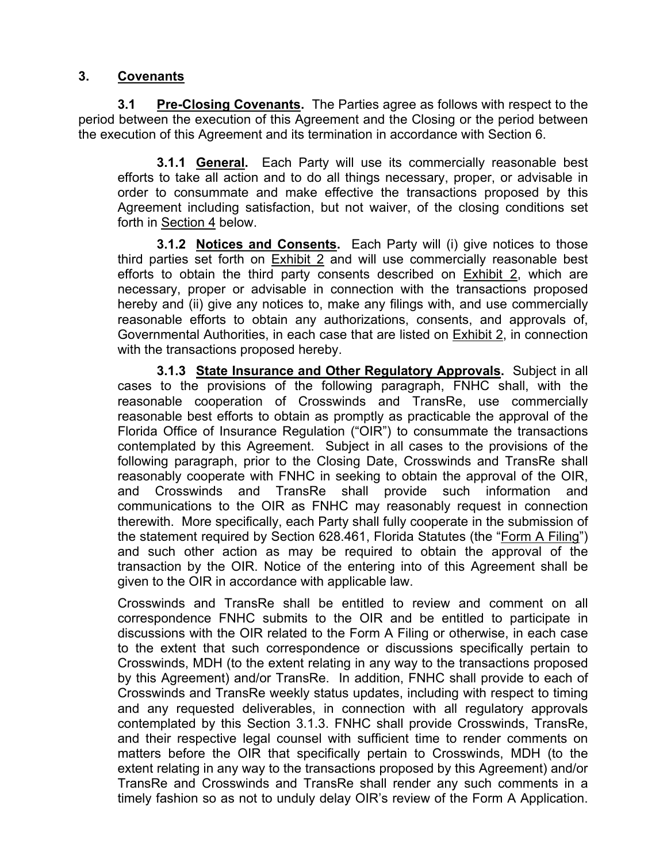## **3. Covenants**

**3.1 Pre-Closing Covenants.** The Parties agree as follows with respect to the period between the execution of this Agreement and the Closing or the period between the execution of this Agreement and its termination in accordance with Section 6.

**3.1.1 General.** Each Party will use its commercially reasonable best efforts to take all action and to do all things necessary, proper, or advisable in order to consummate and make effective the transactions proposed by this Agreement including satisfaction, but not waiver, of the closing conditions set forth in Section 4 below.

**3.1.2 Notices and Consents.** Each Party will (i) give notices to those third parties set forth on Exhibit 2 and will use commercially reasonable best efforts to obtain the third party consents described on **Exhibit 2**, which are necessary, proper or advisable in connection with the transactions proposed hereby and (ii) give any notices to, make any filings with, and use commercially reasonable efforts to obtain any authorizations, consents, and approvals of, Governmental Authorities, in each case that are listed on Exhibit 2, in connection with the transactions proposed hereby.

**3.1.3 State Insurance and Other Regulatory Approvals.** Subject in all cases to the provisions of the following paragraph, FNHC shall, with the reasonable cooperation of Crosswinds and TransRe, use commercially reasonable best efforts to obtain as promptly as practicable the approval of the Florida Office of Insurance Regulation ("OIR") to consummate the transactions contemplated by this Agreement. Subject in all cases to the provisions of the following paragraph, prior to the Closing Date, Crosswinds and TransRe shall reasonably cooperate with FNHC in seeking to obtain the approval of the OIR, and Crosswinds and TransRe shall provide such information and communications to the OIR as FNHC may reasonably request in connection therewith. More specifically, each Party shall fully cooperate in the submission of the statement required by Section 628.461, Florida Statutes (the "Form A Filing") and such other action as may be required to obtain the approval of the transaction by the OIR. Notice of the entering into of this Agreement shall be given to the OIR in accordance with applicable law.

Crosswinds and TransRe shall be entitled to review and comment on all correspondence FNHC submits to the OIR and be entitled to participate in discussions with the OIR related to the Form A Filing or otherwise, in each case to the extent that such correspondence or discussions specifically pertain to Crosswinds, MDH (to the extent relating in any way to the transactions proposed by this Agreement) and/or TransRe. In addition, FNHC shall provide to each of Crosswinds and TransRe weekly status updates, including with respect to timing and any requested deliverables, in connection with all regulatory approvals contemplated by this Section 3.1.3. FNHC shall provide Crosswinds, TransRe, and their respective legal counsel with sufficient time to render comments on matters before the OIR that specifically pertain to Crosswinds, MDH (to the extent relating in any way to the transactions proposed by this Agreement) and/or TransRe and Crosswinds and TransRe shall render any such comments in a timely fashion so as not to unduly delay OIR's review of the Form A Application.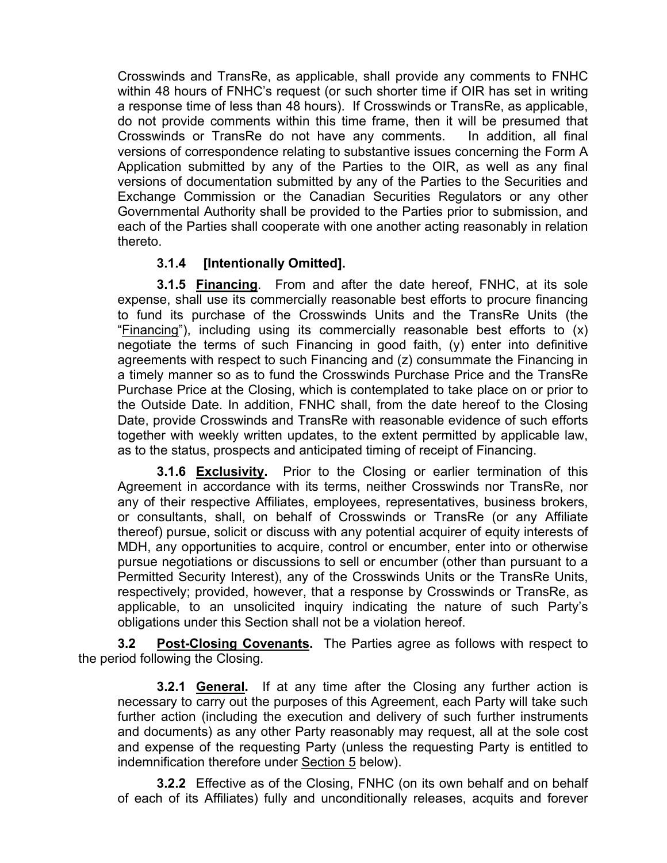Crosswinds and TransRe, as applicable, shall provide any comments to FNHC within 48 hours of FNHC's request (or such shorter time if OIR has set in writing a response time of less than 48 hours). If Crosswinds or TransRe, as applicable, do not provide comments within this time frame, then it will be presumed that Crosswinds or TransRe do not have any comments. In addition, all final versions of correspondence relating to substantive issues concerning the Form A Application submitted by any of the Parties to the OIR, as well as any final versions of documentation submitted by any of the Parties to the Securities and Exchange Commission or the Canadian Securities Regulators or any other Governmental Authority shall be provided to the Parties prior to submission, and each of the Parties shall cooperate with one another acting reasonably in relation thereto.

# **3.1.4 [Intentionally Omitted].**

**3.1.5 Financing**. From and after the date hereof, FNHC, at its sole expense, shall use its commercially reasonable best efforts to procure financing to fund its purchase of the Crosswinds Units and the TransRe Units (the "Financing"), including using its commercially reasonable best efforts to (x) negotiate the terms of such Financing in good faith, (y) enter into definitive agreements with respect to such Financing and (z) consummate the Financing in a timely manner so as to fund the Crosswinds Purchase Price and the TransRe Purchase Price at the Closing, which is contemplated to take place on or prior to the Outside Date. In addition, FNHC shall, from the date hereof to the Closing Date, provide Crosswinds and TransRe with reasonable evidence of such efforts together with weekly written updates, to the extent permitted by applicable law, as to the status, prospects and anticipated timing of receipt of Financing.

**3.1.6 Exclusivity.** Prior to the Closing or earlier termination of this Agreement in accordance with its terms, neither Crosswinds nor TransRe, nor any of their respective Affiliates, employees, representatives, business brokers, or consultants, shall, on behalf of Crosswinds or TransRe (or any Affiliate thereof) pursue, solicit or discuss with any potential acquirer of equity interests of MDH, any opportunities to acquire, control or encumber, enter into or otherwise pursue negotiations or discussions to sell or encumber (other than pursuant to a Permitted Security Interest), any of the Crosswinds Units or the TransRe Units, respectively; provided, however, that a response by Crosswinds or TransRe, as applicable, to an unsolicited inquiry indicating the nature of such Party's obligations under this Section shall not be a violation hereof.

**3.2 Post-Closing Covenants.** The Parties agree as follows with respect to the period following the Closing.

**3.2.1 General.** If at any time after the Closing any further action is necessary to carry out the purposes of this Agreement, each Party will take such further action (including the execution and delivery of such further instruments and documents) as any other Party reasonably may request, all at the sole cost and expense of the requesting Party (unless the requesting Party is entitled to indemnification therefore under Section 5 below).

**3.2.2** Effective as of the Closing, FNHC (on its own behalf and on behalf of each of its Affiliates) fully and unconditionally releases, acquits and forever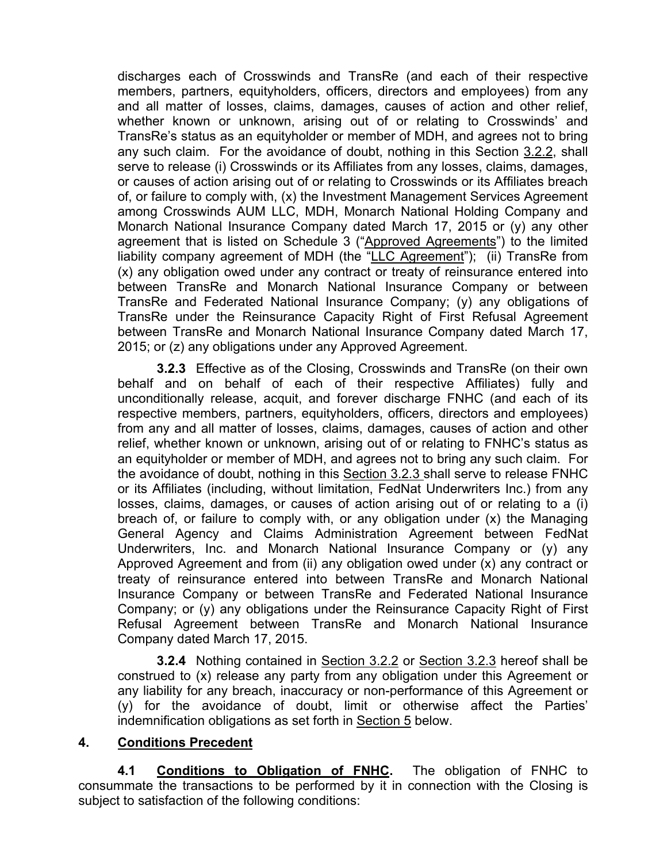discharges each of Crosswinds and TransRe (and each of their respective members, partners, equityholders, officers, directors and employees) from any and all matter of losses, claims, damages, causes of action and other relief, whether known or unknown, arising out of or relating to Crosswinds' and TransRe's status as an equityholder or member of MDH, and agrees not to bring any such claim. For the avoidance of doubt, nothing in this Section 3.2.2, shall serve to release (i) Crosswinds or its Affiliates from any losses, claims, damages, or causes of action arising out of or relating to Crosswinds or its Affiliates breach of, or failure to comply with, (x) the Investment Management Services Agreement among Crosswinds AUM LLC, MDH, Monarch National Holding Company and Monarch National Insurance Company dated March 17, 2015 or (y) any other agreement that is listed on Schedule 3 ("Approved Agreements") to the limited liability company agreement of MDH (the "LLC Agreement"); (ii) TransRe from (x) any obligation owed under any contract or treaty of reinsurance entered into between TransRe and Monarch National Insurance Company or between TransRe and Federated National Insurance Company; (y) any obligations of TransRe under the Reinsurance Capacity Right of First Refusal Agreement between TransRe and Monarch National Insurance Company dated March 17, 2015; or (z) any obligations under any Approved Agreement.

**3.2.3** Effective as of the Closing, Crosswinds and TransRe (on their own behalf and on behalf of each of their respective Affiliates) fully and unconditionally release, acquit, and forever discharge FNHC (and each of its respective members, partners, equityholders, officers, directors and employees) from any and all matter of losses, claims, damages, causes of action and other relief, whether known or unknown, arising out of or relating to FNHC's status as an equityholder or member of MDH, and agrees not to bring any such claim. For the avoidance of doubt, nothing in this Section 3.2.3 shall serve to release FNHC or its Affiliates (including, without limitation, FedNat Underwriters Inc.) from any losses, claims, damages, or causes of action arising out of or relating to a (i) breach of, or failure to comply with, or any obligation under (x) the Managing General Agency and Claims Administration Agreement between FedNat Underwriters, Inc. and Monarch National Insurance Company or (y) any Approved Agreement and from (ii) any obligation owed under (x) any contract or treaty of reinsurance entered into between TransRe and Monarch National Insurance Company or between TransRe and Federated National Insurance Company; or (y) any obligations under the Reinsurance Capacity Right of First Refusal Agreement between TransRe and Monarch National Insurance Company dated March 17, 2015.

**3.2.4** Nothing contained in Section 3.2.2 or Section 3.2.3 hereof shall be construed to (x) release any party from any obligation under this Agreement or any liability for any breach, inaccuracy or non-performance of this Agreement or (y) for the avoidance of doubt, limit or otherwise affect the Parties' indemnification obligations as set forth in Section 5 below.

## **4. Conditions Precedent**

**4.1 Conditions to Obligation of FNHC.** The obligation of FNHC to consummate the transactions to be performed by it in connection with the Closing is subject to satisfaction of the following conditions: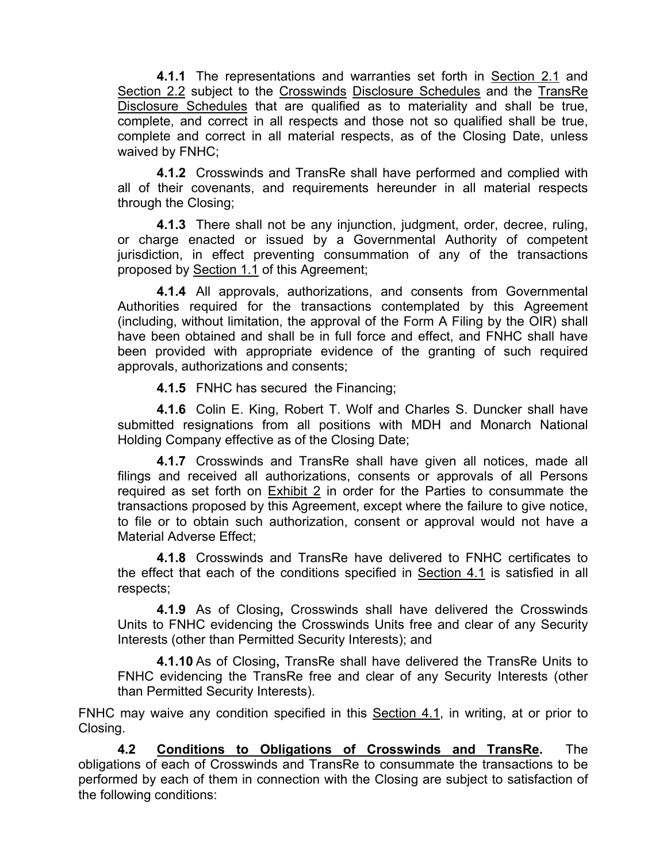**4.1.1** The representations and warranties set forth in Section 2.1 and Section 2.2 subject to the Crosswinds Disclosure Schedules and the TransRe Disclosure Schedules that are qualified as to materiality and shall be true, complete, and correct in all respects and those not so qualified shall be true, complete and correct in all material respects, as of the Closing Date, unless waived by FNHC;

**4.1.2** Crosswinds and TransRe shall have performed and complied with all of their covenants, and requirements hereunder in all material respects through the Closing;

**4.1.3** There shall not be any injunction, judgment, order, decree, ruling, or charge enacted or issued by a Governmental Authority of competent jurisdiction, in effect preventing consummation of any of the transactions proposed by Section 1.1 of this Agreement;

**4.1.4** All approvals, authorizations, and consents from Governmental Authorities required for the transactions contemplated by this Agreement (including, without limitation, the approval of the Form A Filing by the OIR) shall have been obtained and shall be in full force and effect, and FNHC shall have been provided with appropriate evidence of the granting of such required approvals, authorizations and consents;

**4.1.5** FNHC has secured the Financing;

**4.1.6** Colin E. King, Robert T. Wolf and Charles S. Duncker shall have submitted resignations from all positions with MDH and Monarch National Holding Company effective as of the Closing Date;

**4.1.7** Crosswinds and TransRe shall have given all notices, made all filings and received all authorizations, consents or approvals of all Persons required as set forth on Exhibit 2 in order for the Parties to consummate the transactions proposed by this Agreement, except where the failure to give notice, to file or to obtain such authorization, consent or approval would not have a Material Adverse Effect;

**4.1.8** Crosswinds and TransRe have delivered to FNHC certificates to the effect that each of the conditions specified in Section 4.1 is satisfied in all respects;

**4.1.9** As of Closing**,** Crosswinds shall have delivered the Crosswinds Units to FNHC evidencing the Crosswinds Units free and clear of any Security Interests (other than Permitted Security Interests); and

**4.1.10** As of Closing**,** TransRe shall have delivered the TransRe Units to FNHC evidencing the TransRe free and clear of any Security Interests (other than Permitted Security Interests).

FNHC may waive any condition specified in this Section 4.1, in writing, at or prior to Closing.

**4.2 Conditions to Obligations of Crosswinds and TransRe.** The obligations of each of Crosswinds and TransRe to consummate the transactions to be performed by each of them in connection with the Closing are subject to satisfaction of the following conditions: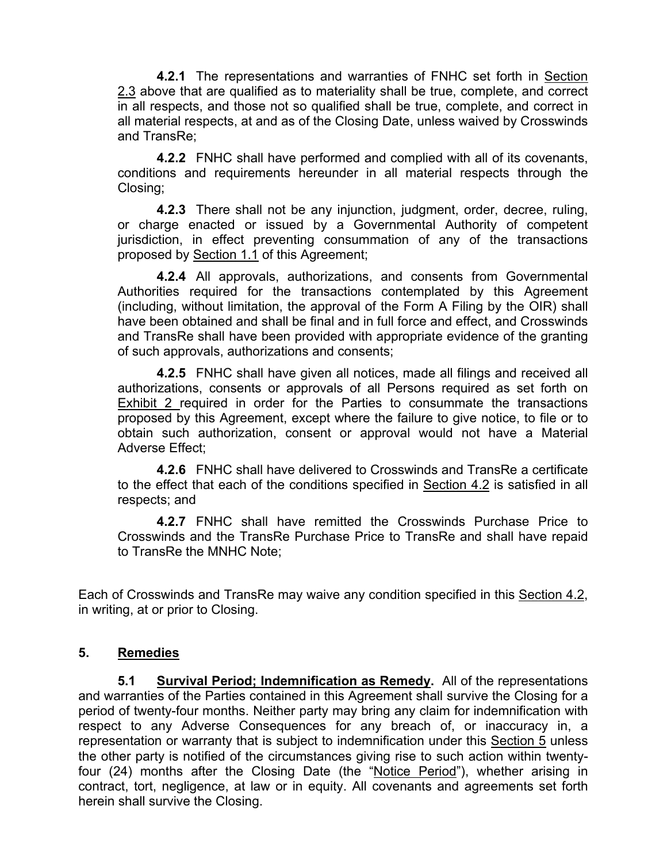**4.2.1** The representations and warranties of FNHC set forth in Section 2.3 above that are qualified as to materiality shall be true, complete, and correct in all respects, and those not so qualified shall be true, complete, and correct in all material respects, at and as of the Closing Date, unless waived by Crosswinds and TransRe;

**4.2.2** FNHC shall have performed and complied with all of its covenants, conditions and requirements hereunder in all material respects through the Closing;

**4.2.3** There shall not be any injunction, judgment, order, decree, ruling, or charge enacted or issued by a Governmental Authority of competent jurisdiction, in effect preventing consummation of any of the transactions proposed by Section 1.1 of this Agreement;

**4.2.4** All approvals, authorizations, and consents from Governmental Authorities required for the transactions contemplated by this Agreement (including, without limitation, the approval of the Form A Filing by the OIR) shall have been obtained and shall be final and in full force and effect, and Crosswinds and TransRe shall have been provided with appropriate evidence of the granting of such approvals, authorizations and consents;

**4.2.5** FNHC shall have given all notices, made all filings and received all authorizations, consents or approvals of all Persons required as set forth on Exhibit 2 required in order for the Parties to consummate the transactions proposed by this Agreement, except where the failure to give notice, to file or to obtain such authorization, consent or approval would not have a Material Adverse Effect;

**4.2.6** FNHC shall have delivered to Crosswinds and TransRe a certificate to the effect that each of the conditions specified in Section 4.2 is satisfied in all respects; and

**4.2.7** FNHC shall have remitted the Crosswinds Purchase Price to Crosswinds and the TransRe Purchase Price to TransRe and shall have repaid to TransRe the MNHC Note;

Each of Crosswinds and TransRe may waive any condition specified in this Section 4.2, in writing, at or prior to Closing.

## **5. Remedies**

**5.1 Survival Period; Indemnification as Remedy.** All of the representations and warranties of the Parties contained in this Agreement shall survive the Closing for a period of twenty-four months. Neither party may bring any claim for indemnification with respect to any Adverse Consequences for any breach of, or inaccuracy in, a representation or warranty that is subject to indemnification under this Section 5 unless the other party is notified of the circumstances giving rise to such action within twentyfour (24) months after the Closing Date (the "Notice Period"), whether arising in contract, tort, negligence, at law or in equity. All covenants and agreements set forth herein shall survive the Closing.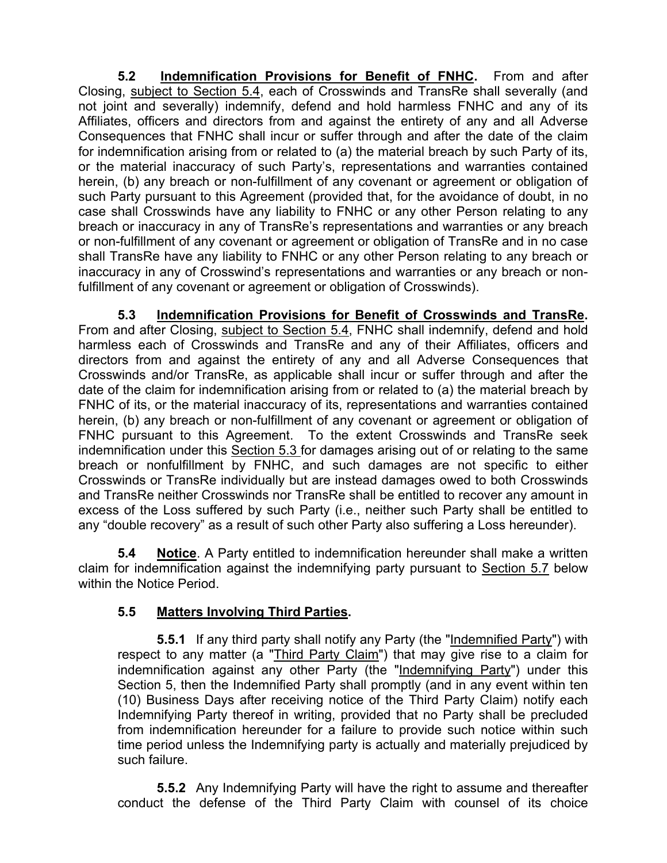**5.2 Indemnification Provisions for Benefit of FNHC.** From and after Closing, subject to Section 5.4, each of Crosswinds and TransRe shall severally (and not joint and severally) indemnify, defend and hold harmless FNHC and any of its Affiliates, officers and directors from and against the entirety of any and all Adverse Consequences that FNHC shall incur or suffer through and after the date of the claim for indemnification arising from or related to (a) the material breach by such Party of its, or the material inaccuracy of such Party's, representations and warranties contained herein, (b) any breach or non-fulfillment of any covenant or agreement or obligation of such Party pursuant to this Agreement (provided that, for the avoidance of doubt, in no case shall Crosswinds have any liability to FNHC or any other Person relating to any breach or inaccuracy in any of TransRe's representations and warranties or any breach or non-fulfillment of any covenant or agreement or obligation of TransRe and in no case shall TransRe have any liability to FNHC or any other Person relating to any breach or inaccuracy in any of Crosswind's representations and warranties or any breach or nonfulfillment of any covenant or agreement or obligation of Crosswinds).

**5.3 Indemnification Provisions for Benefit of Crosswinds and TransRe.** From and after Closing, subject to Section 5.4, FNHC shall indemnify, defend and hold harmless each of Crosswinds and TransRe and any of their Affiliates, officers and directors from and against the entirety of any and all Adverse Consequences that Crosswinds and/or TransRe, as applicable shall incur or suffer through and after the date of the claim for indemnification arising from or related to (a) the material breach by FNHC of its, or the material inaccuracy of its, representations and warranties contained herein, (b) any breach or non-fulfillment of any covenant or agreement or obligation of FNHC pursuant to this Agreement. To the extent Crosswinds and TransRe seek indemnification under this Section 5.3 for damages arising out of or relating to the same breach or nonfulfillment by FNHC, and such damages are not specific to either Crosswinds or TransRe individually but are instead damages owed to both Crosswinds and TransRe neither Crosswinds nor TransRe shall be entitled to recover any amount in excess of the Loss suffered by such Party (i.e., neither such Party shall be entitled to any "double recovery" as a result of such other Party also suffering a Loss hereunder).

**5.4 Notice**. A Party entitled to indemnification hereunder shall make a written claim for indemnification against the indemnifying party pursuant to Section 5.7 below within the Notice Period.

# **5.5 Matters Involving Third Parties.**

**5.5.1** If any third party shall notify any Party (the "Indemnified Party") with respect to any matter (a "Third Party Claim") that may give rise to a claim for indemnification against any other Party (the "Indemnifying Party") under this Section 5, then the Indemnified Party shall promptly (and in any event within ten (10) Business Days after receiving notice of the Third Party Claim) notify each Indemnifying Party thereof in writing, provided that no Party shall be precluded from indemnification hereunder for a failure to provide such notice within such time period unless the Indemnifying party is actually and materially prejudiced by such failure.

**5.5.2** Any Indemnifying Party will have the right to assume and thereafter conduct the defense of the Third Party Claim with counsel of its choice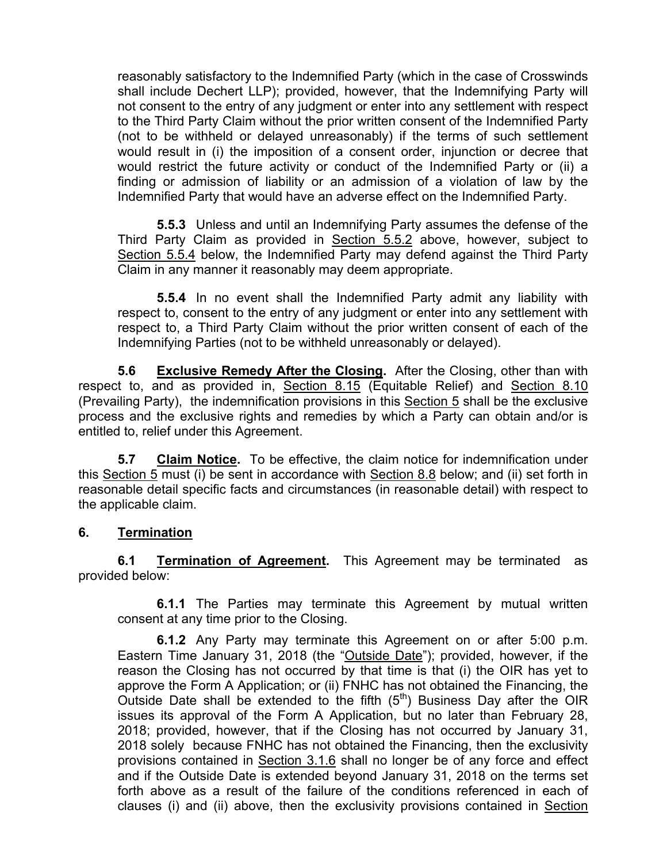reasonably satisfactory to the Indemnified Party (which in the case of Crosswinds shall include Dechert LLP); provided, however, that the Indemnifying Party will not consent to the entry of any judgment or enter into any settlement with respect to the Third Party Claim without the prior written consent of the Indemnified Party (not to be withheld or delayed unreasonably) if the terms of such settlement would result in (i) the imposition of a consent order, injunction or decree that would restrict the future activity or conduct of the Indemnified Party or (ii) a finding or admission of liability or an admission of a violation of law by the Indemnified Party that would have an adverse effect on the Indemnified Party.

**5.5.3** Unless and until an Indemnifying Party assumes the defense of the Third Party Claim as provided in Section 5.5.2 above, however, subject to Section 5.5.4 below, the Indemnified Party may defend against the Third Party Claim in any manner it reasonably may deem appropriate.

**5.5.4** In no event shall the Indemnified Party admit any liability with respect to, consent to the entry of any judgment or enter into any settlement with respect to, a Third Party Claim without the prior written consent of each of the Indemnifying Parties (not to be withheld unreasonably or delayed).

**5.6** Exclusive Remedy After the Closing. After the Closing, other than with respect to, and as provided in, Section 8.15 (Equitable Relief) and Section 8.10 (Prevailing Party), the indemnification provisions in this Section 5 shall be the exclusive process and the exclusive rights and remedies by which a Party can obtain and/or is entitled to, relief under this Agreement.

**5.7 Claim Notice.** To be effective, the claim notice for indemnification under this Section 5 must (i) be sent in accordance with Section 8.8 below; and (ii) set forth in reasonable detail specific facts and circumstances (in reasonable detail) with respect to the applicable claim.

# **6. Termination**

**6.1 Termination of Agreement.** This Agreement may be terminated as provided below:

**6.1.1** The Parties may terminate this Agreement by mutual written consent at any time prior to the Closing.

**6.1.2** Any Party may terminate this Agreement on or after 5:00 p.m. Eastern Time January 31, 2018 (the "Outside Date"); provided, however, if the reason the Closing has not occurred by that time is that (i) the OIR has yet to approve the Form A Application; or (ii) FNHC has not obtained the Financing, the Outside Date shall be extended to the fifth  $(5<sup>th</sup>)$  Business Day after the OIR issues its approval of the Form A Application, but no later than February 28, 2018; provided, however, that if the Closing has not occurred by January 31, 2018 solely because FNHC has not obtained the Financing, then the exclusivity provisions contained in Section 3.1.6 shall no longer be of any force and effect and if the Outside Date is extended beyond January 31, 2018 on the terms set forth above as a result of the failure of the conditions referenced in each of clauses (i) and (ii) above, then the exclusivity provisions contained in Section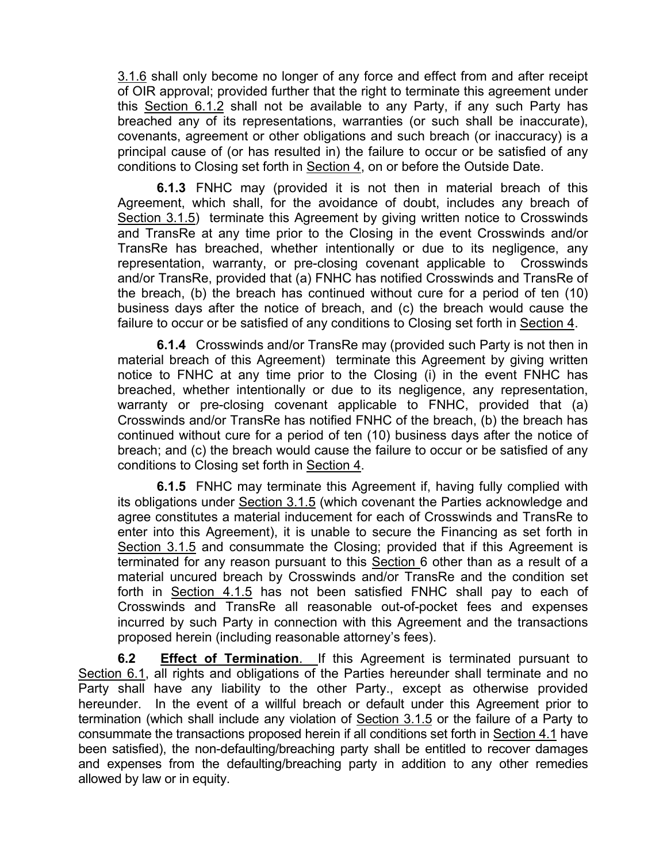3.1.6 shall only become no longer of any force and effect from and after receipt of OIR approval; provided further that the right to terminate this agreement under this Section 6.1.2 shall not be available to any Party, if any such Party has breached any of its representations, warranties (or such shall be inaccurate), covenants, agreement or other obligations and such breach (or inaccuracy) is a principal cause of (or has resulted in) the failure to occur or be satisfied of any conditions to Closing set forth in Section 4, on or before the Outside Date.

**6.1.3** FNHC may (provided it is not then in material breach of this Agreement, which shall, for the avoidance of doubt, includes any breach of Section 3.1.5) terminate this Agreement by giving written notice to Crosswinds and TransRe at any time prior to the Closing in the event Crosswinds and/or TransRe has breached, whether intentionally or due to its negligence, any representation, warranty, or pre-closing covenant applicable to Crosswinds and/or TransRe, provided that (a) FNHC has notified Crosswinds and TransRe of the breach, (b) the breach has continued without cure for a period of ten (10) business days after the notice of breach, and (c) the breach would cause the failure to occur or be satisfied of any conditions to Closing set forth in Section 4.

**6.1.4** Crosswinds and/or TransRe may (provided such Party is not then in material breach of this Agreement) terminate this Agreement by giving written notice to FNHC at any time prior to the Closing (i) in the event FNHC has breached, whether intentionally or due to its negligence, any representation, warranty or pre-closing covenant applicable to FNHC, provided that (a) Crosswinds and/or TransRe has notified FNHC of the breach, (b) the breach has continued without cure for a period of ten (10) business days after the notice of breach; and (c) the breach would cause the failure to occur or be satisfied of any conditions to Closing set forth in Section 4.

**6.1.5** FNHC may terminate this Agreement if, having fully complied with its obligations under Section 3.1.5 (which covenant the Parties acknowledge and agree constitutes a material inducement for each of Crosswinds and TransRe to enter into this Agreement), it is unable to secure the Financing as set forth in Section 3.1.5 and consummate the Closing; provided that if this Agreement is terminated for any reason pursuant to this Section 6 other than as a result of a material uncured breach by Crosswinds and/or TransRe and the condition set forth in Section 4.1.5 has not been satisfied FNHC shall pay to each of Crosswinds and TransRe all reasonable out-of-pocket fees and expenses incurred by such Party in connection with this Agreement and the transactions proposed herein (including reasonable attorney's fees).

**6.2** Effect of Termination. If this Agreement is terminated pursuant to Section 6.1, all rights and obligations of the Parties hereunder shall terminate and no Party shall have any liability to the other Party., except as otherwise provided hereunder. In the event of a willful breach or default under this Agreement prior to termination (which shall include any violation of Section 3.1.5 or the failure of a Party to consummate the transactions proposed herein if all conditions set forth in Section 4.1 have been satisfied), the non-defaulting/breaching party shall be entitled to recover damages and expenses from the defaulting/breaching party in addition to any other remedies allowed by law or in equity.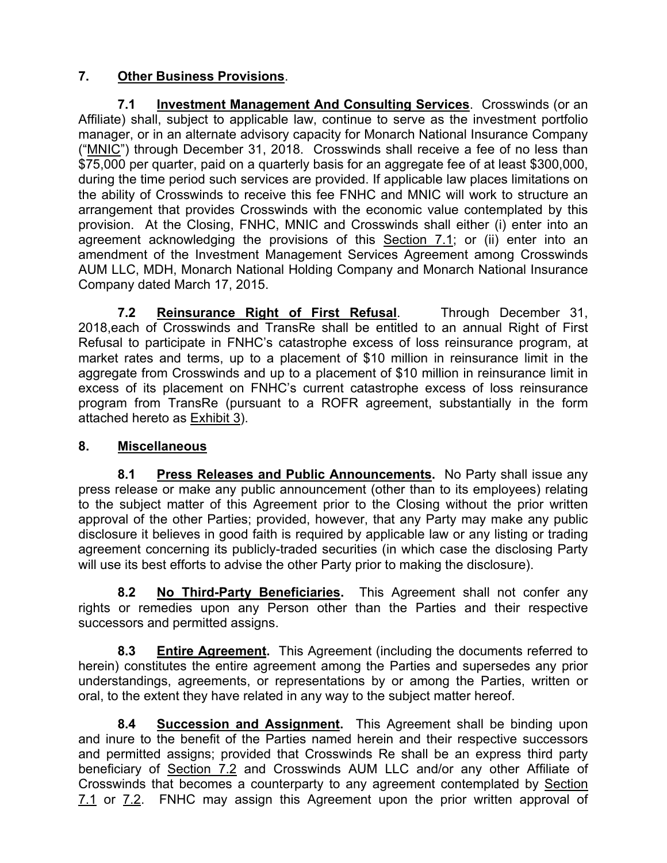# **7. Other Business Provisions**.

**7.1 Investment Management And Consulting Services**. Crosswinds (or an Affiliate) shall, subject to applicable law, continue to serve as the investment portfolio manager, or in an alternate advisory capacity for Monarch National Insurance Company ("MNIC") through December 31, 2018. Crosswinds shall receive a fee of no less than \$75,000 per quarter, paid on a quarterly basis for an aggregate fee of at least \$300,000, during the time period such services are provided. If applicable law places limitations on the ability of Crosswinds to receive this fee FNHC and MNIC will work to structure an arrangement that provides Crosswinds with the economic value contemplated by this provision. At the Closing, FNHC, MNIC and Crosswinds shall either (i) enter into an agreement acknowledging the provisions of this Section  $7.1$ ; or (ii) enter into an amendment of the Investment Management Services Agreement among Crosswinds AUM LLC, MDH, Monarch National Holding Company and Monarch National Insurance Company dated March 17, 2015.

**7.2 Reinsurance Right of First Refusal**. Through December 31, 2018,each of Crosswinds and TransRe shall be entitled to an annual Right of First Refusal to participate in FNHC's catastrophe excess of loss reinsurance program, at market rates and terms, up to a placement of \$10 million in reinsurance limit in the aggregate from Crosswinds and up to a placement of \$10 million in reinsurance limit in excess of its placement on FNHC's current catastrophe excess of loss reinsurance program from TransRe (pursuant to a ROFR agreement, substantially in the form attached hereto as Exhibit 3).

# **8. Miscellaneous**

**8.1 Press Releases and Public Announcements.** No Party shall issue any press release or make any public announcement (other than to its employees) relating to the subject matter of this Agreement prior to the Closing without the prior written approval of the other Parties; provided, however, that any Party may make any public disclosure it believes in good faith is required by applicable law or any listing or trading agreement concerning its publicly-traded securities (in which case the disclosing Party will use its best efforts to advise the other Party prior to making the disclosure).

**8.2 No Third-Party Beneficiaries.** This Agreement shall not confer any rights or remedies upon any Person other than the Parties and their respective successors and permitted assigns.

**8.3 Entire Agreement.** This Agreement (including the documents referred to herein) constitutes the entire agreement among the Parties and supersedes any prior understandings, agreements, or representations by or among the Parties, written or oral, to the extent they have related in any way to the subject matter hereof.

**8.4 Succession and Assignment.** This Agreement shall be binding upon and inure to the benefit of the Parties named herein and their respective successors and permitted assigns; provided that Crosswinds Re shall be an express third party beneficiary of Section 7.2 and Crosswinds AUM LLC and/or any other Affiliate of Crosswinds that becomes a counterparty to any agreement contemplated by Section 7.1 or 7.2. FNHC may assign this Agreement upon the prior written approval of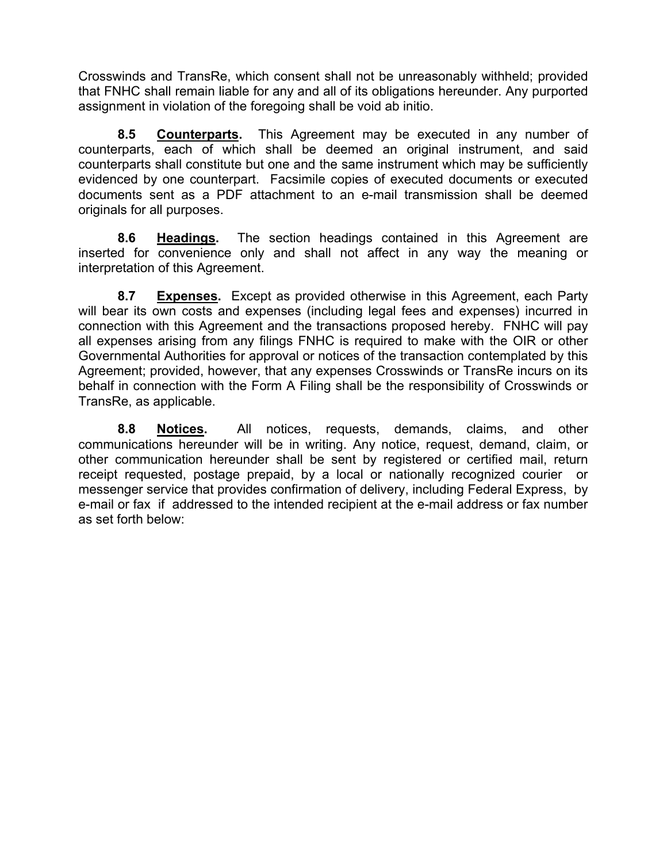Crosswinds and TransRe, which consent shall not be unreasonably withheld; provided that FNHC shall remain liable for any and all of its obligations hereunder. Any purported assignment in violation of the foregoing shall be void ab initio.

**8.5 Counterparts.** This Agreement may be executed in any number of counterparts, each of which shall be deemed an original instrument, and said counterparts shall constitute but one and the same instrument which may be sufficiently evidenced by one counterpart. Facsimile copies of executed documents or executed documents sent as a PDF attachment to an e-mail transmission shall be deemed originals for all purposes.

**8.6 Headings.** The section headings contained in this Agreement are inserted for convenience only and shall not affect in any way the meaning or interpretation of this Agreement.

**8.7 Expenses.** Except as provided otherwise in this Agreement, each Party will bear its own costs and expenses (including legal fees and expenses) incurred in connection with this Agreement and the transactions proposed hereby. FNHC will pay all expenses arising from any filings FNHC is required to make with the OIR or other Governmental Authorities for approval or notices of the transaction contemplated by this Agreement; provided, however, that any expenses Crosswinds or TransRe incurs on its behalf in connection with the Form A Filing shall be the responsibility of Crosswinds or TransRe, as applicable.

**8.8 Notices.** All notices, requests, demands, claims, and other communications hereunder will be in writing. Any notice, request, demand, claim, or other communication hereunder shall be sent by registered or certified mail, return receipt requested, postage prepaid, by a local or nationally recognized courier or messenger service that provides confirmation of delivery, including Federal Express, by e-mail or fax if addressed to the intended recipient at the e-mail address or fax number as set forth below: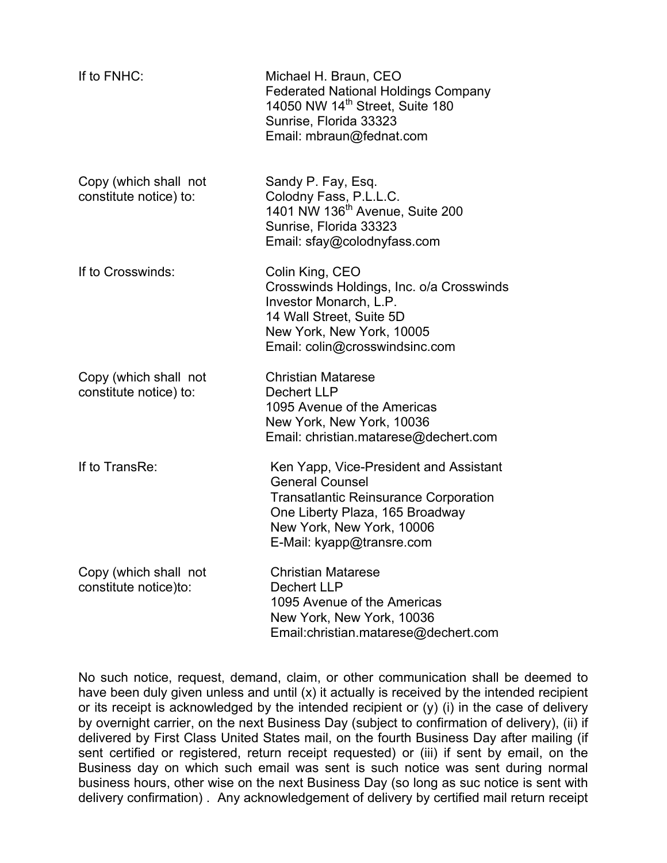| If to FNHC:                                     | Michael H. Braun, CEO<br><b>Federated National Holdings Company</b><br>14050 NW 14 <sup>th</sup> Street, Suite 180<br>Sunrise, Florida 33323<br>Email: mbraun@fednat.com                                      |
|-------------------------------------------------|---------------------------------------------------------------------------------------------------------------------------------------------------------------------------------------------------------------|
| Copy (which shall not<br>constitute notice) to: | Sandy P. Fay, Esq.<br>Colodny Fass, P.L.L.C.<br>1401 NW 136 <sup>th</sup> Avenue, Suite 200<br>Sunrise, Florida 33323<br>Email: sfay@colodnyfass.com                                                          |
| If to Crosswinds:                               | Colin King, CEO<br>Crosswinds Holdings, Inc. o/a Crosswinds<br>Investor Monarch, L.P.<br>14 Wall Street, Suite 5D<br>New York, New York, 10005<br>Email: colin@crosswindsinc.com                              |
| Copy (which shall not<br>constitute notice) to: | <b>Christian Matarese</b><br><b>Dechert LLP</b><br>1095 Avenue of the Americas<br>New York, New York, 10036<br>Email: christian.matarese@dechert.com                                                          |
| If to TransRe:                                  | Ken Yapp, Vice-President and Assistant<br><b>General Counsel</b><br><b>Transatlantic Reinsurance Corporation</b><br>One Liberty Plaza, 165 Broadway<br>New York, New York, 10006<br>E-Mail: kyapp@transre.com |
| Copy (which shall not<br>constitute notice)to:  | <b>Christian Matarese</b><br>Dechert LLP<br>1095 Avenue of the Americas<br>New York, New York, 10036<br>Email:christian.matarese@dechert.com                                                                  |

No such notice, request, demand, claim, or other communication shall be deemed to have been duly given unless and until (x) it actually is received by the intended recipient or its receipt is acknowledged by the intended recipient or (y) (i) in the case of delivery by overnight carrier, on the next Business Day (subject to confirmation of delivery), (ii) if delivered by First Class United States mail, on the fourth Business Day after mailing (if sent certified or registered, return receipt requested) or (iii) if sent by email, on the Business day on which such email was sent is such notice was sent during normal business hours, other wise on the next Business Day (so long as suc notice is sent with delivery confirmation) . Any acknowledgement of delivery by certified mail return receipt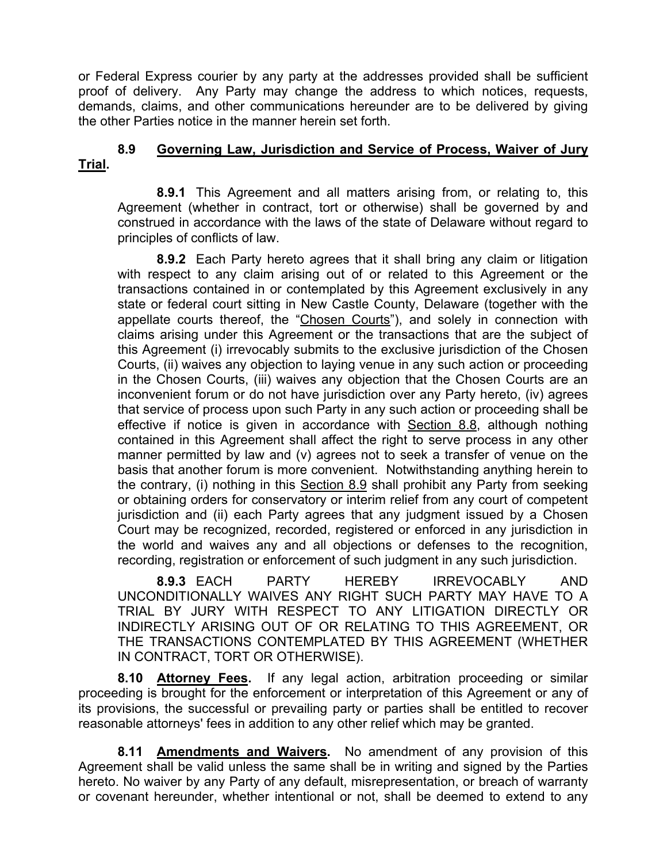or Federal Express courier by any party at the addresses provided shall be sufficient proof of delivery. Any Party may change the address to which notices, requests, demands, claims, and other communications hereunder are to be delivered by giving the other Parties notice in the manner herein set forth.

# **8.9 Governing Law, Jurisdiction and Service of Process, Waiver of Jury Trial.**

**8.9.1** This Agreement and all matters arising from, or relating to, this Agreement (whether in contract, tort or otherwise) shall be governed by and construed in accordance with the laws of the state of Delaware without regard to principles of conflicts of law.

**8.9.2** Each Party hereto agrees that it shall bring any claim or litigation with respect to any claim arising out of or related to this Agreement or the transactions contained in or contemplated by this Agreement exclusively in any state or federal court sitting in New Castle County, Delaware (together with the appellate courts thereof, the "Chosen Courts"), and solely in connection with claims arising under this Agreement or the transactions that are the subject of this Agreement (i) irrevocably submits to the exclusive jurisdiction of the Chosen Courts, (ii) waives any objection to laying venue in any such action or proceeding in the Chosen Courts, (iii) waives any objection that the Chosen Courts are an inconvenient forum or do not have jurisdiction over any Party hereto, (iv) agrees that service of process upon such Party in any such action or proceeding shall be effective if notice is given in accordance with **Section 8.8**, although nothing contained in this Agreement shall affect the right to serve process in any other manner permitted by law and (v) agrees not to seek a transfer of venue on the basis that another forum is more convenient. Notwithstanding anything herein to the contrary, (i) nothing in this Section 8.9 shall prohibit any Party from seeking or obtaining orders for conservatory or interim relief from any court of competent jurisdiction and (ii) each Party agrees that any judgment issued by a Chosen Court may be recognized, recorded, registered or enforced in any jurisdiction in the world and waives any and all objections or defenses to the recognition, recording, registration or enforcement of such judgment in any such jurisdiction.

**8.9.3** EACH PARTY HEREBY IRREVOCABLY AND UNCONDITIONALLY WAIVES ANY RIGHT SUCH PARTY MAY HAVE TO A TRIAL BY JURY WITH RESPECT TO ANY LITIGATION DIRECTLY OR INDIRECTLY ARISING OUT OF OR RELATING TO THIS AGREEMENT, OR THE TRANSACTIONS CONTEMPLATED BY THIS AGREEMENT (WHETHER IN CONTRACT, TORT OR OTHERWISE).

**8.10 Attorney Fees.** If any legal action, arbitration proceeding or similar proceeding is brought for the enforcement or interpretation of this Agreement or any of its provisions, the successful or prevailing party or parties shall be entitled to recover reasonable attorneys' fees in addition to any other relief which may be granted.

**8.11 Amendments and Waivers.** No amendment of any provision of this Agreement shall be valid unless the same shall be in writing and signed by the Parties hereto. No waiver by any Party of any default, misrepresentation, or breach of warranty or covenant hereunder, whether intentional or not, shall be deemed to extend to any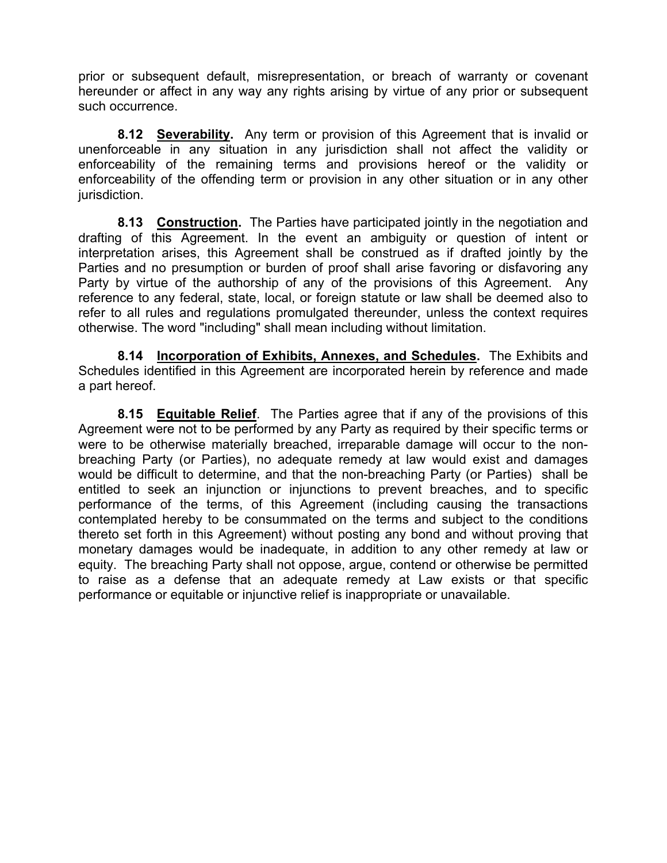prior or subsequent default, misrepresentation, or breach of warranty or covenant hereunder or affect in any way any rights arising by virtue of any prior or subsequent such occurrence.

**8.12 Severability.** Any term or provision of this Agreement that is invalid or unenforceable in any situation in any jurisdiction shall not affect the validity or enforceability of the remaining terms and provisions hereof or the validity or enforceability of the offending term or provision in any other situation or in any other jurisdiction.

**8.13 Construction.** The Parties have participated jointly in the negotiation and drafting of this Agreement. In the event an ambiguity or question of intent or interpretation arises, this Agreement shall be construed as if drafted jointly by the Parties and no presumption or burden of proof shall arise favoring or disfavoring any Party by virtue of the authorship of any of the provisions of this Agreement. Any reference to any federal, state, local, or foreign statute or law shall be deemed also to refer to all rules and regulations promulgated thereunder, unless the context requires otherwise. The word "including" shall mean including without limitation.

**8.14 Incorporation of Exhibits, Annexes, and Schedules.** The Exhibits and Schedules identified in this Agreement are incorporated herein by reference and made a part hereof.

**8.15 Equitable Relief**. The Parties agree that if any of the provisions of this Agreement were not to be performed by any Party as required by their specific terms or were to be otherwise materially breached, irreparable damage will occur to the nonbreaching Party (or Parties), no adequate remedy at law would exist and damages would be difficult to determine, and that the non-breaching Party (or Parties) shall be entitled to seek an injunction or injunctions to prevent breaches, and to specific performance of the terms, of this Agreement (including causing the transactions contemplated hereby to be consummated on the terms and subject to the conditions thereto set forth in this Agreement) without posting any bond and without proving that monetary damages would be inadequate, in addition to any other remedy at law or equity. The breaching Party shall not oppose, argue, contend or otherwise be permitted to raise as a defense that an adequate remedy at Law exists or that specific performance or equitable or injunctive relief is inappropriate or unavailable.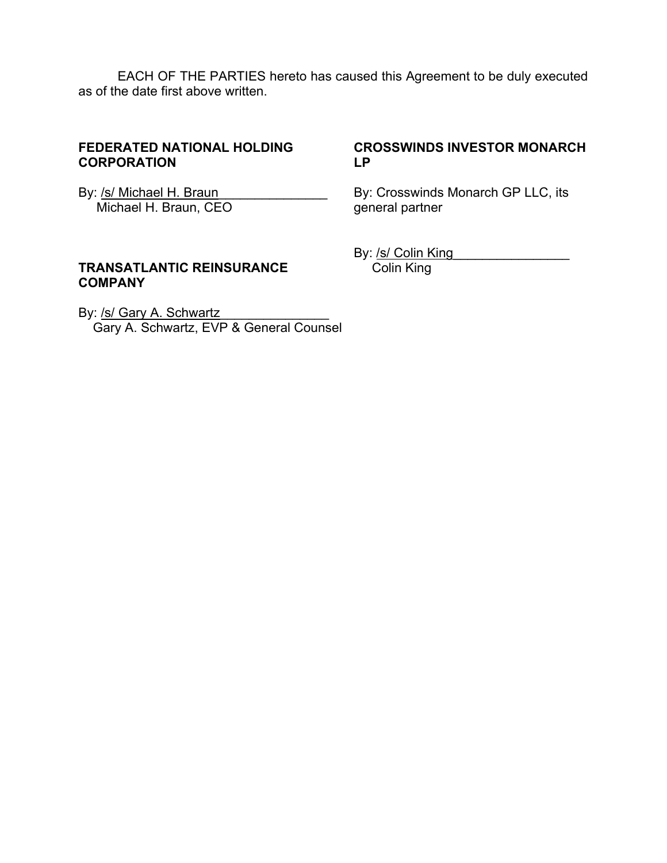EACH OF THE PARTIES hereto has caused this Agreement to be duly executed as of the date first above written.

#### **FEDERATED NATIONAL HOLDING CORPORATION**

**CROSSWINDS INVESTOR MONARCH LP** 

By: /s/ Michael H. Braun Michael H. Braun, CEO

By: Crosswinds Monarch GP LLC, its general partner

#### **TRANSATLANTIC REINSURANCE COMPANY**

By: /s/ Colin King Colin King

By: /s/ Gary A. Schwartz Gary A. Schwartz, EVP & General Counsel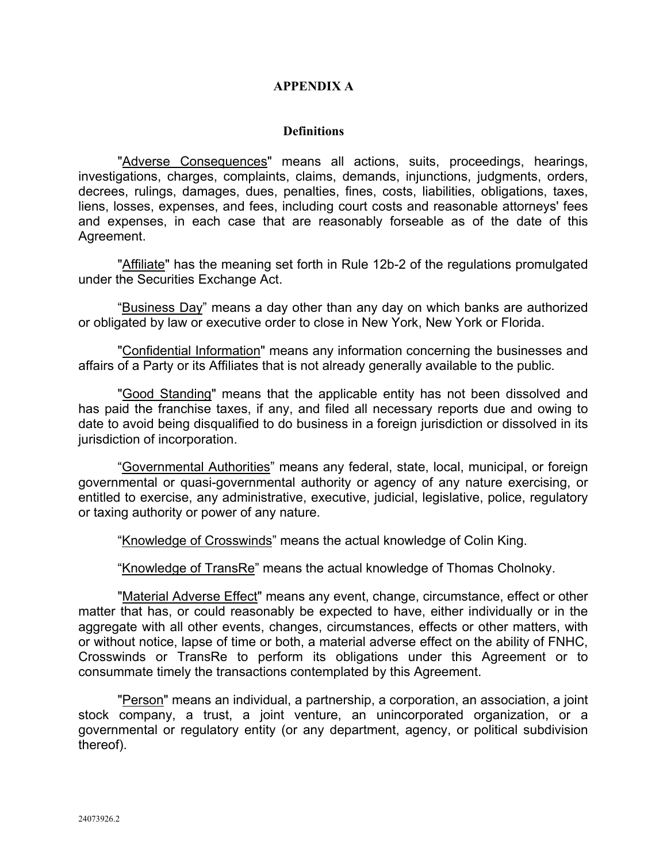#### **APPENDIX A**

#### **Definitions**

"Adverse Consequences" means all actions, suits, proceedings, hearings, investigations, charges, complaints, claims, demands, injunctions, judgments, orders, decrees, rulings, damages, dues, penalties, fines, costs, liabilities, obligations, taxes, liens, losses, expenses, and fees, including court costs and reasonable attorneys' fees and expenses, in each case that are reasonably forseable as of the date of this Agreement.

"Affiliate" has the meaning set forth in Rule 12b-2 of the regulations promulgated under the Securities Exchange Act.

"Business Day" means a day other than any day on which banks are authorized or obligated by law or executive order to close in New York, New York or Florida.

"Confidential Information" means any information concerning the businesses and affairs of a Party or its Affiliates that is not already generally available to the public.

"Good Standing" means that the applicable entity has not been dissolved and has paid the franchise taxes, if any, and filed all necessary reports due and owing to date to avoid being disqualified to do business in a foreign jurisdiction or dissolved in its jurisdiction of incorporation.

"Governmental Authorities" means any federal, state, local, municipal, or foreign governmental or quasi-governmental authority or agency of any nature exercising, or entitled to exercise, any administrative, executive, judicial, legislative, police, regulatory or taxing authority or power of any nature.

"Knowledge of Crosswinds" means the actual knowledge of Colin King.

"Knowledge of TransRe" means the actual knowledge of Thomas Cholnoky.

"Material Adverse Effect" means any event, change, circumstance, effect or other matter that has, or could reasonably be expected to have, either individually or in the agaregate with all other events, changes, circumstances, effects or other matters, with or without notice, lapse of time or both, a material adverse effect on the ability of FNHC, Crosswinds or TransRe to perform its obligations under this Agreement or to consummate timely the transactions contemplated by this Agreement.

"Person" means an individual, a partnership, a corporation, an association, a joint stock company, a trust, a joint venture, an unincorporated organization, or a governmental or regulatory entity (or any department, agency, or political subdivision thereof).